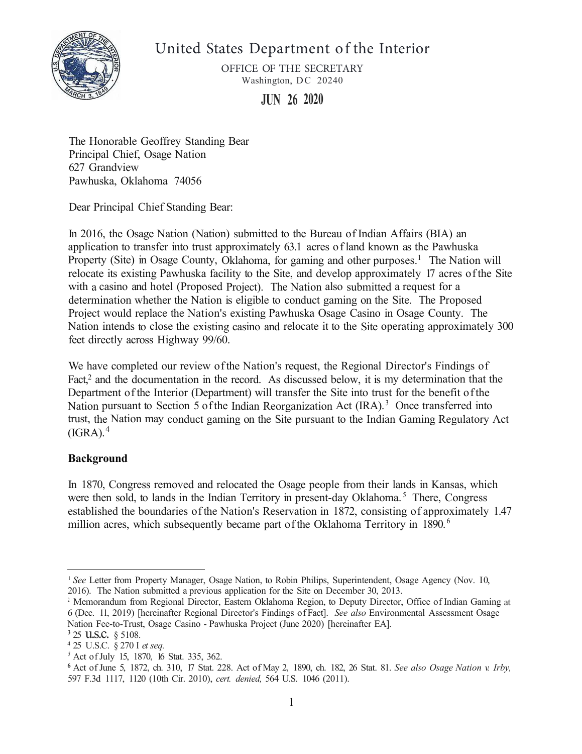

United States Department of the Interior

OFFICE OF THE SECRETARY Washington, DC 20240

**JUN 26 2020** 

The Honorable Geoffrey Standing Bear Principal Chief, Osage Nation 627 Grandview Pawhuska, Oklahoma 74056

Dear Principal Chief Standing Bear:

In 2016, the Osage Nation (Nation) submitted to the Bureau of Indian Affairs (BIA) an application to transfer into trust approximately 63.1 acres of land known as the Pawhuska Property (Site) in Osage County, Oklahoma, for gaming and other purposes.<sup>1</sup> The Nation will relocate its existing Pawhuska facility to the Site, and develop approximately 17 acres of the Site with a casino and hotel (Proposed Project). The Nation also submitted a request for a determination whether the Nation is eligible to conduct gaming on the Site. The Proposed Project would replace the Nation's existing Pawhuska Osage Casino in Osage County. The Nation intends to close the existing casino and relocate it to the Site operating approximately 300 feet directly across Highway 99/60.

We have completed our review of the Nation's request, the Regional Director's Findings of Fact, $2$  and the documentation in the record. As discussed below, it is my determination that the Department of the Interior (Department) will transfer the Site into trust for the benefit ofthe Nation pursuant to Section 5 of the Indian Reorganization Act  $(IRA).$ <sup>3</sup> Once transferred into trust, the Nation may conduct gaming on the Site pursuant to the Indian Gaming Regulatory Act  $(IGRA).<sup>4</sup>$ 

# **Background**

In 1870, Congress removed and relocated the Osage people from their lands in Kansas, which were then sold, to lands in the Indian Territory in present-day Oklahoma.<sup>5</sup> There, Congress established the boundaries ofthe Nation's Reservation in 1872, consisting of approximately 1.47 million acres, which subsequently became part of the Oklahoma Territory in 1890.<sup>6</sup>

<sup>&</sup>lt;sup>1</sup> See Letter from Property Manager, Osage Nation, to Robin Philips, Superintendent, Osage Agency (Nov. 10, 2016). The Nation submitted a previous application for the Site on December 30, 2013.

<sup>&</sup>lt;sup>2</sup> Memorandum from Regional Director, Eastern Oklahoma Region, to Deputy Director, Office of Indian Gaming at 6 (Dec. 11, 2019) [hereinafter Regional Director's Findings of Fact]. *See also* Environmental Assessment Osage Nation Fee-to-Trust, Osage Casino - Pawhuska Project (June 2020) [hereinafter EA].

**<sup>3</sup>**25 u.s.c. § 5108.

**<sup>4</sup>**25 U .S.C. § 270 I *et seq.* 

<sup>&</sup>lt;sup>5</sup> Act of July 15, 1870, 16 Stat. 335, 362.

**<sup>6</sup>**Act of June 5, 1872, ch. 310, 17 Stat. 228. Act of May 2, 1890, ch. 182, 26 Stat. 81. *See also Osage Nation v. Irby,*  597 F.3d 1117, 1120 (10th Cir. 2010), *cert. denied,* 564 U.S. 1046 (2011).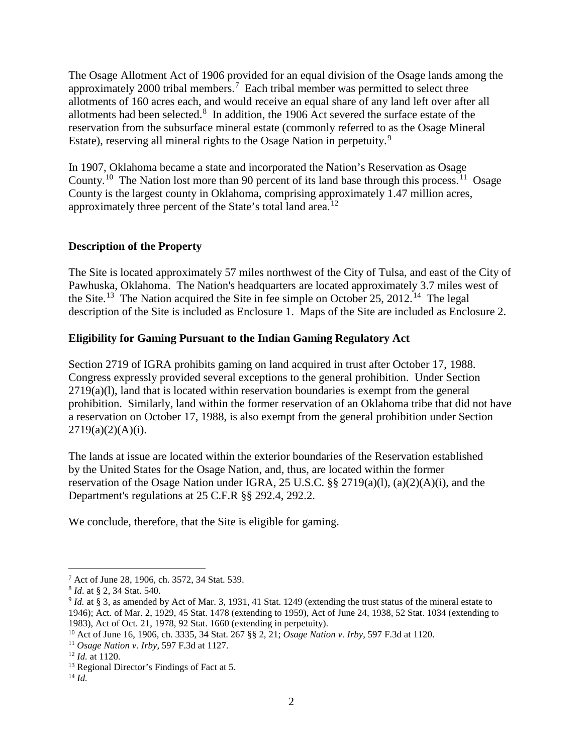The Osage Allotment Act of 1906 provided for an equal division of the Osage lands among the approximately 2000 tribal members.<sup>[7](#page-1-0)</sup> Each tribal member was permitted to select three allotments of 160 acres each, and would receive an equal share of any land left over after all allotments had been selected. $8\,$  $8\,$  In addition, the 1906 Act severed the surface estate of the reservation from the subsurface mineral estate (commonly referred to as the Osage Mineral Estate), reserving all mineral rights to the Osage Nation in perpetuity.<sup>[9](#page-1-2)</sup>

In 1907, Oklahoma became a state and incorporated the Nation's Reservation as Osage County.<sup>[10](#page-1-3)</sup> The Nation lost more than 90 percent of its land base through this process.<sup>11</sup> Osage County is the largest county in Oklahoma, comprising approximately 1.47 million acres, approximately three percent of the State's total land area.<sup>[12](#page-1-5)</sup>

## **Description of the Property**

The Site is located approximately 57 miles northwest of the City of Tulsa, and east of the City of Pawhuska, Oklahoma. The Nation's headquarters are located approximately 3.7 miles west of the Site.<sup>[13](#page-1-6)</sup> The Nation acquired the Site in fee simple on October 25, 2012.<sup>[14](#page-1-7)</sup> The legal description of the Site is included as Enclosure 1. Maps of the Site are included as Enclosure 2.

### **Eligibility for Gaming Pursuant to the Indian Gaming Regulatory Act**

Section 2719 of IGRA prohibits gaming on land acquired in trust after October 17, 1988. Congress expressly provided several exceptions to the general prohibition. Under Section 2719(a)(l), land that is located within reservation boundaries is exempt from the general prohibition. Similarly, land within the former reservation of an Oklahoma tribe that did not have a reservation on October 17, 1988, is also exempt from the general prohibition under Section  $2719(a)(2)(A)(i)$ .

The lands at issue are located within the exterior boundaries of the Reservation established by the United States for the Osage Nation, and, thus, are located within the former reservation of the Osage Nation under IGRA, 25 U.S.C. §§ 2719(a)(l), (a)(2)(A)(i), and the Department's regulations at 25 C.F.R §§ 292.4, 292.2.

We conclude, therefore, that the Site is eligible for gaming.

<span id="page-1-0"></span><sup>7</sup> Act of June 28, 1906, ch. 3572, 34 Stat. 539.

<span id="page-1-1"></span><sup>8</sup> *Id*. at § 2, 34 Stat. 540.

<span id="page-1-2"></span><sup>9</sup> *Id.* at § 3, as amended by Act of Mar. 3, 1931, 41 Stat. 1249 (extending the trust status of the mineral estate to 1946); Act. of Mar. 2, 1929, 45 Stat. 1478 (extending to 1959), Act of June 24, 1938, 52 Stat. 1034 (extending to 1983), Act of Oct. 21, 1978, 92 Stat. 1660 (extending in perpetuity).

<span id="page-1-3"></span><sup>10</sup> Act of June 16, 1906, ch. 3335, 34 Stat. 267 §§ 2, 21; *Osage Nation v. Irby*, 597 F.3d at 1120.

<span id="page-1-4"></span><sup>11</sup> *Osage Nation v. Irby*, 597 F.3d at 1127.

<span id="page-1-5"></span><sup>12</sup> *Id.* at 1120.

<span id="page-1-6"></span><sup>13</sup> Regional Director's Findings of Fact at 5.

<span id="page-1-7"></span><sup>14</sup> *Id.*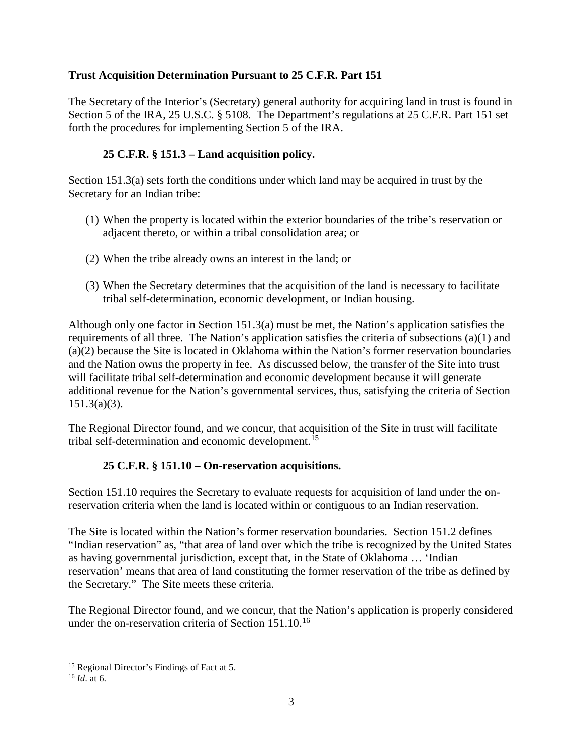### **Trust Acquisition Determination Pursuant to 25 C.F.R. Part 151**

The Secretary of the Interior's (Secretary) general authority for acquiring land in trust is found in Section 5 of the IRA, 25 U.S.C. § 5108. The Department's regulations at 25 C.F.R. Part 151 set forth the procedures for implementing Section 5 of the IRA.

## **25 C.F.R. § 151.3 – Land acquisition policy.**

Section 151.3(a) sets forth the conditions under which land may be acquired in trust by the Secretary for an Indian tribe:

- (1) When the property is located within the exterior boundaries of the tribe's reservation or adjacent thereto, or within a tribal consolidation area; or
- (2) When the tribe already owns an interest in the land; or
- (3) When the Secretary determines that the acquisition of the land is necessary to facilitate tribal self-determination, economic development, or Indian housing.

Although only one factor in Section 151.3(a) must be met, the Nation's application satisfies the requirements of all three. The Nation's application satisfies the criteria of subsections (a)(1) and (a)(2) because the Site is located in Oklahoma within the Nation's former reservation boundaries and the Nation owns the property in fee. As discussed below, the transfer of the Site into trust will facilitate tribal self-determination and economic development because it will generate additional revenue for the Nation's governmental services, thus, satisfying the criteria of Section 151.3(a)(3).

The Regional Director found, and we concur, that acquisition of the Site in trust will facilitate tribal self-determination and economic development.[15](#page-2-0)

## **25 C.F.R. § 151.10 – On-reservation acquisitions.**

Section 151.10 requires the Secretary to evaluate requests for acquisition of land under the onreservation criteria when the land is located within or contiguous to an Indian reservation.

The Site is located within the Nation's former reservation boundaries. Section 151.2 defines "Indian reservation" as, "that area of land over which the tribe is recognized by the United States as having governmental jurisdiction, except that, in the State of Oklahoma … 'Indian reservation' means that area of land constituting the former reservation of the tribe as defined by the Secretary." The Site meets these criteria.

The Regional Director found, and we concur, that the Nation's application is properly considered under the on-reservation criteria of Section 151.10.<sup>[16](#page-2-1)</sup>

<span id="page-2-0"></span><sup>&</sup>lt;sup>15</sup> Regional Director's Findings of Fact at 5.

<span id="page-2-1"></span> $^{16}$  *Id* at 6.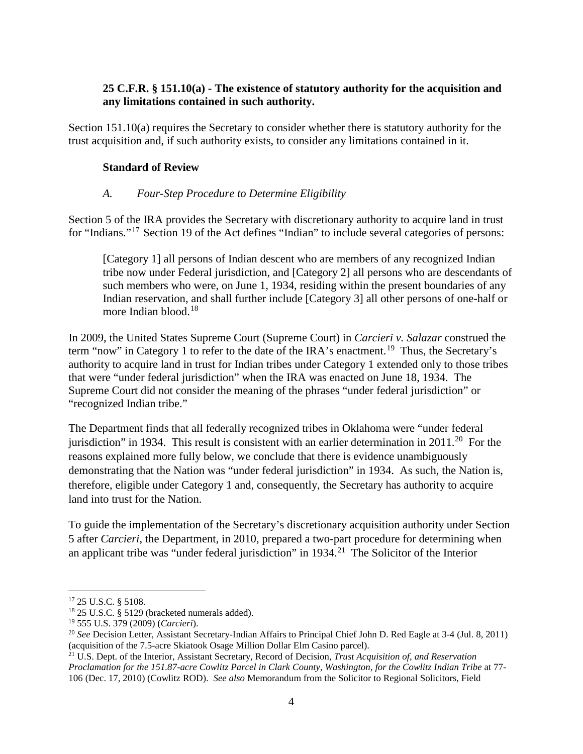## **25 C.F.R. § 151.10(a) - The existence of statutory authority for the acquisition and any limitations contained in such authority.**

Section 151.10(a) requires the Secretary to consider whether there is statutory authority for the trust acquisition and, if such authority exists, to consider any limitations contained in it.

### **Standard of Review**

### *A. Four-Step Procedure to Determine Eligibility*

Section 5 of the IRA provides the Secretary with discretionary authority to acquire land in trust for "Indians."<sup>17</sup> Section 19 of the Act defines "Indian" to include several categories of persons:

[Category 1] all persons of Indian descent who are members of any recognized Indian tribe now under Federal jurisdiction, and [Category 2] all persons who are descendants of such members who were, on June 1, 1934, residing within the present boundaries of any Indian reservation, and shall further include [Category 3] all other persons of one-half or more Indian blood.<sup>[18](#page-3-1)</sup>

In 2009, the United States Supreme Court (Supreme Court) in *Carcieri v. Salazar* construed the term "now" in Category 1 to refer to the date of the IRA's enactment.<sup>19</sup> Thus, the Secretary's authority to acquire land in trust for Indian tribes under Category 1 extended only to those tribes that were "under federal jurisdiction" when the IRA was enacted on June 18, 1934. The Supreme Court did not consider the meaning of the phrases "under federal jurisdiction" or "recognized Indian tribe."

The Department finds that all federally recognized tribes in Oklahoma were "under federal jurisdiction" in 1934. This result is consistent with an earlier determination in  $2011$  $2011$ <sup>20</sup> For the reasons explained more fully below, we conclude that there is evidence unambiguously demonstrating that the Nation was "under federal jurisdiction" in 1934. As such, the Nation is, therefore, eligible under Category 1 and, consequently, the Secretary has authority to acquire land into trust for the Nation.

To guide the implementation of the Secretary's discretionary acquisition authority under Section 5 after *Carcieri*, the Department, in 2010, prepared a two-part procedure for determining when an applicant tribe was "under federal jurisdiction" in  $1934<sup>21</sup>$  The Solicitor of the Interior

<span id="page-3-1"></span><span id="page-3-0"></span><sup>&</sup>lt;sup>17</sup> 25 U.S.C. § 5108.<br><sup>18</sup> 25 U.S.C. § 5129 (bracketed numerals added).<br><sup>19</sup> 555 U.S. 379 (2009) (*Carcieri*).

<span id="page-3-3"></span><span id="page-3-2"></span><sup>&</sup>lt;sup>20</sup> See Decision Letter, Assistant Secretary-Indian Affairs to Principal Chief John D. Red Eagle at 3-4 (Jul. 8, 2011) (acquisition of the 7.5-acre Skiatook Osage Million Dollar Elm Casino parcel).

<span id="page-3-4"></span><sup>&</sup>lt;sup>21</sup> U.S. Dept. of the Interior, Assistant Secretary, Record of Decision, *Trust Acquisition of, and Reservation Proclamation for the 151.87-acre Cowlitz Parcel in Clark County, Washington, for the Cowlitz Indian Tribe* at 77- 106 (Dec. 17, 2010) (Cowlitz ROD). *See also* Memorandum from the Solicitor to Regional Solicitors, Field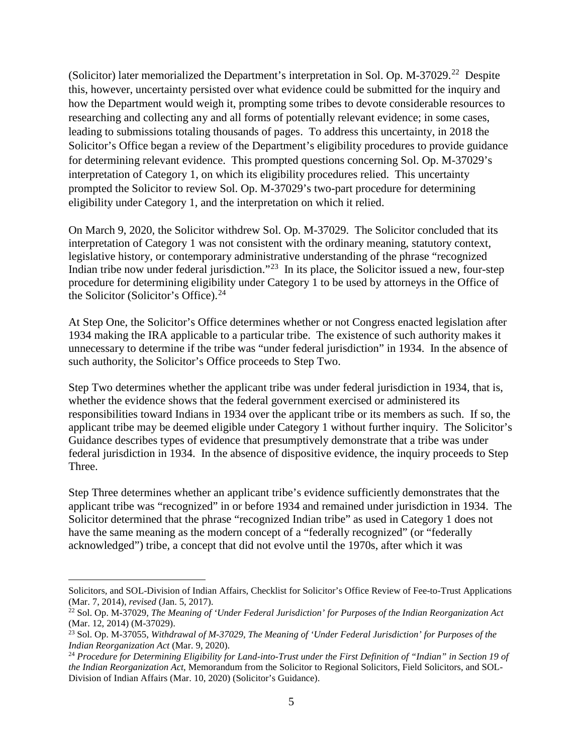(Solicitor) later memorialized the Department's interpretation in Sol. Op. M-37029.<sup>22</sup> Despite this, however, uncertainty persisted over what evidence could be submitted for the inquiry and how the Department would weigh it, prompting some tribes to devote considerable resources to researching and collecting any and all forms of potentially relevant evidence; in some cases, leading to submissions totaling thousands of pages. To address this uncertainty, in 2018 the Solicitor's Office began a review of the Department's eligibility procedures to provide guidance for determining relevant evidence. This prompted questions concerning Sol. Op. M-37029's interpretation of Category 1, on which its eligibility procedures relied. This uncertainty prompted the Solicitor to review Sol. Op. M-37029's two-part procedure for determining eligibility under Category 1, and the interpretation on which it relied.

On March 9, 2020, the Solicitor withdrew Sol. Op. M-37029. The Solicitor concluded that its interpretation of Category 1 was not consistent with the ordinary meaning, statutory context, legislative history, or contemporary administrative understanding of the phrase "recognized Indian tribe now under federal jurisdiction."<sup>23</sup> In its place, the Solicitor issued a new, four-step procedure for determining eligibility under Category 1 to be used by attorneys in the Office of the Solicitor (Solicitor's Office).<sup>[24](#page-4-2)</sup>

At Step One, the Solicitor's Office determines whether or not Congress enacted legislation after 1934 making the IRA applicable to a particular tribe. The existence of such authority makes it unnecessary to determine if the tribe was "under federal jurisdiction" in 1934. In the absence of such authority, the Solicitor's Office proceeds to Step Two.

Step Two determines whether the applicant tribe was under federal jurisdiction in 1934, that is, whether the evidence shows that the federal government exercised or administered its responsibilities toward Indians in 1934 over the applicant tribe or its members as such. If so, the applicant tribe may be deemed eligible under Category 1 without further inquiry. The Solicitor's Guidance describes types of evidence that presumptively demonstrate that a tribe was under federal jurisdiction in 1934. In the absence of dispositive evidence, the inquiry proceeds to Step Three.

Step Three determines whether an applicant tribe's evidence sufficiently demonstrates that the applicant tribe was "recognized" in or before 1934 and remained under jurisdiction in 1934. The Solicitor determined that the phrase "recognized Indian tribe" as used in Category 1 does not have the same meaning as the modern concept of a "federally recognized" (or "federally acknowledged") tribe, a concept that did not evolve until the 1970s, after which it was

Solicitors, and SOL-Division of Indian Affairs, Checklist for Solicitor's Office Review of Fee-to-Trust Applications (Mar. 7, 2014), *revised* (Jan. 5, 2017).

<span id="page-4-0"></span><sup>&</sup>lt;sup>22</sup> Sol. Op. M-37029, *The Meaning of 'Under Federal Jurisdiction' for Purposes of the Indian Reorganization Act* (Mar. 12, 2014) (M-37029).

<span id="page-4-1"></span><sup>&</sup>lt;sup>23</sup> Sol. Op. M-37055, *Withdrawal of M-37029, The Meaning of 'Under Federal Jurisdiction' for Purposes of the Indian Reorganization Act (Mar. 9, 2020).* 

<span id="page-4-2"></span><sup>&</sup>lt;sup>24</sup> Procedure for Determining Eligibility for Land-into-Trust under the First Definition of "Indian" in Section 19 of *the Indian Reorganization Act*, Memorandum from the Solicitor to Regional Solicitors, Field Solicitors, and SOL-Division of Indian Affairs (Mar. 10, 2020) (Solicitor's Guidance).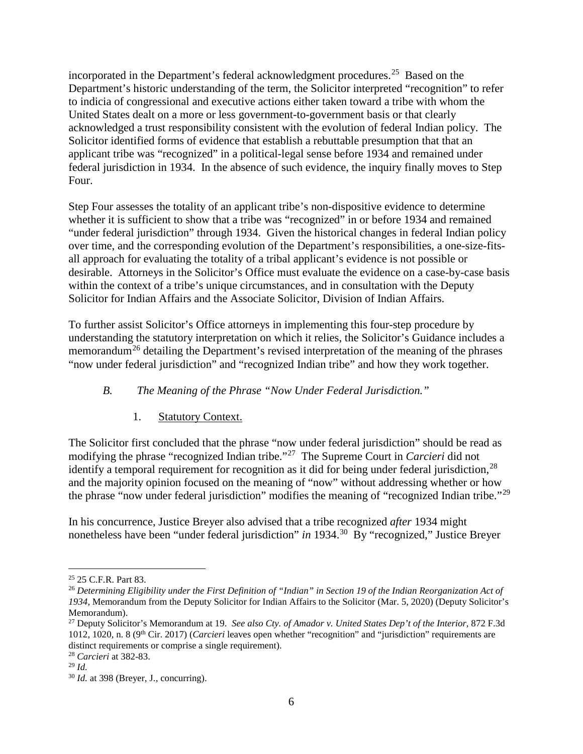incorporated in the Department's federal acknowledgment procedures.[25](#page-5-0) Based on the Department's historic understanding of the term, the Solicitor interpreted "recognition" to refer to indicia of congressional and executive actions either taken toward a tribe with whom the United States dealt on a more or less government-to-government basis or that clearly acknowledged a trust responsibility consistent with the evolution of federal Indian policy. The Solicitor identified forms of evidence that establish a rebuttable presumption that that an applicant tribe was "recognized" in a political-legal sense before 1934 and remained under federal jurisdiction in 1934. In the absence of such evidence, the inquiry finally moves to Step Four.

Step Four assesses the totality of an applicant tribe's non-dispositive evidence to determine whether it is sufficient to show that a tribe was "recognized" in or before 1934 and remained "under federal jurisdiction" through 1934. Given the historical changes in federal Indian policy over time, and the corresponding evolution of the Department's responsibilities, a one-size-fitsall approach for evaluating the totality of a tribal applicant's evidence is not possible or desirable. Attorneys in the Solicitor's Office must evaluate the evidence on a case-by-case basis within the context of a tribe's unique circumstances, and in consultation with the Deputy Solicitor for Indian Affairs and the Associate Solicitor, Division of Indian Affairs.

To further assist Solicitor's Office attorneys in implementing this four-step procedure by understanding the statutory interpretation on which it relies, the Solicitor's Guidance includes a memorandum<sup>[26](#page-5-1)</sup> detailing the Department's revised interpretation of the meaning of the phrases "now under federal jurisdiction" and "recognized Indian tribe" and how they work together.

# *B. The Meaning of the Phrase "Now Under Federal Jurisdiction."*

## 1. Statutory Context.

The Solicitor first concluded that the phrase "now under federal jurisdiction" should be read as modifying the phrase "recognized Indian tribe."[27](#page-5-2) The Supreme Court in *Carcieri* did not identify a temporal requirement for recognition as it did for being under federal jurisdiction,  $^{28}$  $^{28}$  $^{28}$ and the majority opinion focused on the meaning of "now" without addressing whether or how the phrase "now under federal jurisdiction" modifies the meaning of "recognized Indian tribe."[29](#page-5-4)

In his concurrence, Justice Breyer also advised that a tribe recognized *after* 1934 might nonetheless have been "under federal jurisdiction" *in* 1934.[30](#page-5-5) By "recognized," Justice Breyer

<span id="page-5-3"></span><sup>28</sup> *Carcieri* at 382-83.

<span id="page-5-0"></span><sup>25</sup> 25 C.F.R. Part 83.

<span id="page-5-1"></span><sup>26</sup> *Determining Eligibility under the First Definition of "Indian" in Section 19 of the Indian Reorganization Act of 1934*, Memorandum from the Deputy Solicitor for Indian Affairs to the Solicitor (Mar. 5, 2020) (Deputy Solicitor's Memorandum).

<span id="page-5-2"></span><sup>27</sup> Deputy Solicitor's Memorandum at 19. *See also Cty. of Amador v. United States Dep't of the Interior*, 872 F.3d 1012, 1020, n. 8 (9th Cir. 2017) (*Carcieri* leaves open whether "recognition" and "jurisdiction" requirements are distinct requirements or comprise a single requirement).

<span id="page-5-4"></span><sup>29</sup> *Id.*

<span id="page-5-5"></span><sup>30</sup> *Id.* at 398 (Breyer, J., concurring).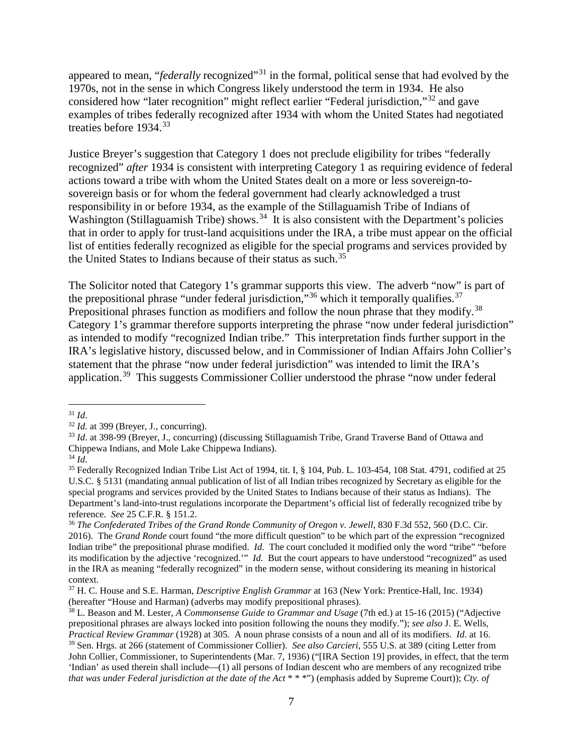appeared to mean, "*federally* recognized"<sup>[31](#page-6-0)</sup> in the formal, political sense that had evolved by the 1970s, not in the sense in which Congress likely understood the term in 1934. He also considered how "later recognition" might reflect earlier "Federal jurisdiction,"[32](#page-6-1) and gave examples of tribes federally recognized after 1934 with whom the United States had negotiated treaties before 1934.<sup>[33](#page-6-2)</sup>

Justice Breyer's suggestion that Category 1 does not preclude eligibility for tribes "federally recognized" *after* 1934 is consistent with interpreting Category 1 as requiring evidence of federal actions toward a tribe with whom the United States dealt on a more or less sovereign-tosovereign basis or for whom the federal government had clearly acknowledged a trust responsibility in or before 1934, as the example of the Stillaguamish Tribe of Indians of Washington (Stillaguamish Tribe) shows.<sup>34</sup> It is also consistent with the Department's policies that in order to apply for trust-land acquisitions under the IRA, a tribe must appear on the official list of entities federally recognized as eligible for the special programs and services provided by the United States to Indians because of their status as such.<sup>[35](#page-6-4)</sup>

The Solicitor noted that Category 1's grammar supports this view. The adverb "now" is part of the prepositional phrase "under federal jurisdiction,"<sup>[36](#page-6-5)</sup> which it temporally qualifies.<sup>[37](#page-6-6)</sup> Prepositional phrases function as modifiers and follow the noun phrase that they modify.<sup>38</sup> Category 1's grammar therefore supports interpreting the phrase "now under federal jurisdiction" as intended to modify "recognized Indian tribe." This interpretation finds further support in the IRA's legislative history, discussed below, and in Commissioner of Indian Affairs John Collier's statement that the phrase "now under federal jurisdiction" was intended to limit the IRA's application.[39](#page-6-8) This suggests Commissioner Collier understood the phrase "now under federal

<span id="page-6-0"></span> $^{31}$  *Id.*  $^{32}$  *Id.* at 399 (Breyer, J., concurring).

<span id="page-6-2"></span><span id="page-6-1"></span><sup>33</sup> *Id*. at 398-99 (Breyer, J., concurring) (discussing Stillaguamish Tribe, Grand Traverse Band of Ottawa and Chippewa Indians, and Mole Lake Chippewa Indians).

<span id="page-6-4"></span><span id="page-6-3"></span><sup>&</sup>lt;sup>35</sup> Federally Recognized Indian Tribe List Act of 1994, tit. I, § 104, Pub. L. 103-454, 108 Stat. 4791, codified at 25 U.S.C. § 5131 (mandating annual publication of list of all Indian tribes recognized by Secretary as eligible for the special programs and services provided by the United States to Indians because of their status as Indians). The Department's land-into-trust regulations incorporate the Department's official list of federally recognized tribe by reference. *See* 25 C.F.R. § 151.2.

<span id="page-6-5"></span><sup>&</sup>lt;sup>36</sup> The Confederated Tribes of the Grand Ronde Community of Oregon v. Jewell, 830 F.3d 552, 560 (D.C. Cir. 2016). The *Grand Ronde* court found "the more difficult question" to be which part of the expression "recognized Indian tribe" the prepositional phrase modified. *Id.* The court concluded it modified only the word "tribe" "before its modification by the adjective 'recognized.'" *Id.* But the court appears to have understood "recognized" as used in the IRA as meaning "federally recognized" in the modern sense, without considering its meaning in historical context.

<span id="page-6-6"></span><sup>37</sup> H. C. House and S.E. Harman, *Descriptive English Grammar* at 163 (New York: Prentice-Hall, Inc. 1934) (hereafter "House and Harman) (adverbs may modify prepositional phrases).

<span id="page-6-8"></span><span id="page-6-7"></span><sup>38</sup> L. Beason and M. Lester, *A Commonsense Guide to Grammar and Usage* (7th ed.) at 15-16 (2015) ("Adjective prepositional phrases are always locked into position following the nouns they modify."); *see also* J. E. Wells, *Practical Review Grammar* (1928) at 305. A noun phrase consists of a noun and all of its modifiers. *Id*. at 16. <sup>39</sup> Sen. Hrgs. at 266 (statement of Commissioner Collier). *See also Carcieri*, 555 U.S. at 389 (citing Letter from John Collier, Commissioner, to Superintendents (Mar. 7, 1936) ("[IRA Section 19] provides, in effect, that the term 'Indian' as used therein shall include—(1) all persons of Indian descent who are members of any recognized tribe *that was under Federal jurisdiction at the date of the Act* \* \* \*") (emphasis added by Supreme Court)); *Cty. of*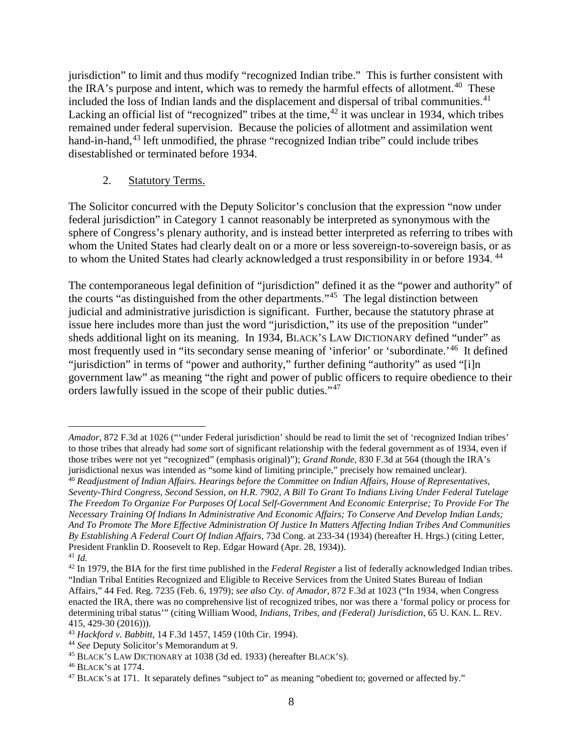jurisdiction" to limit and thus modify "recognized Indian tribe." This is further consistent with the IRA's purpose and intent, which was to remedy the harmful effects of allotment.<sup>40</sup> These included the loss of Indian lands and the displacement and dispersal of tribal communities.<sup>41</sup> Lacking an official list of "recognized" tribes at the time,  $42$  it was unclear in 1934, which tribes remained under federal supervision. Because the policies of allotment and assimilation went hand-in-hand,<sup>43</sup> left unmodified, the phrase "recognized Indian tribe" could include tribes disestablished or terminated before 1934.

### 2. Statutory Terms.

The Solicitor concurred with the Deputy Solicitor's conclusion that the expression "now under federal jurisdiction" in Category 1 cannot reasonably be interpreted as synonymous with the sphere of Congress's plenary authority, and is instead better interpreted as referring to tribes with whom the United States had clearly dealt on or a more or less sovereign-to-sovereign basis, or as to whom the United States had clearly acknowledged a trust responsibility in or before 1934. <sup>[44](#page-7-4)</sup>

The contemporaneous legal definition of "jurisdiction" defined it as the "power and authority" of the courts "as distinguished from the other departments."[45](#page-7-5) The legal distinction between judicial and administrative jurisdiction is significant. Further, because the statutory phrase at issue here includes more than just the word "jurisdiction," its use of the preposition "under" sheds additional light on its meaning. In 1934, BLACK'S LAW DICTIONARY defined "under" as most frequently used in "its secondary sense meaning of 'inferior' or 'subordinate.'[46](#page-7-6) It defined "jurisdiction" in terms of "power and authority," further defining "authority" as used "[i]n government law" as meaning "the right and power of public officers to require obedience to their orders lawfully issued in the scope of their public duties."[47](#page-7-7)

*Amador*, 872 F.3d at 1026 ("'under Federal jurisdiction' should be read to limit the set of 'recognized Indian tribes' to those tribes that already had *some* sort of significant relationship with the federal government as of 1934, even if those tribes were not yet "recognized" (emphasis original)"); *Grand Ronde*, 830 F.3d at 564 (though the IRA's jurisdictional nexus was intended as "some kind of limiting principle," precisely how remained unclear).

<span id="page-7-0"></span><sup>40</sup> *Readjustment of Indian Affairs. Hearings before the Committee on Indian Affairs*, *House of Representatives, Seventy-Third Congress, Second Session, on H.R. 7902, A Bill To Grant To Indians Living Under Federal Tutelage The Freedom To Organize For Purposes Of Local Self-Government And Economic Enterprise; To Provide For The Necessary Training Of Indians In Administrative And Economic Affairs; To Conserve And Develop Indian Lands; And To Promote The More Effective Administration Of Justice In Matters Affecting Indian Tribes And Communities By Establishing A Federal Court Of Indian Affairs,* 73d Cong. at 233-34 (1934) (hereafter H. Hrgs.) (citing Letter, President Franklin D. Roosevelt to Rep. Edgar Howard (Apr. 28, 1934)). <sup>41</sup> *Id.*

<span id="page-7-2"></span><span id="page-7-1"></span><sup>42</sup> In 1979, the BIA for the first time published in the *Federal Register* a list of federally acknowledged Indian tribes. "Indian Tribal Entities Recognized and Eligible to Receive Services from the United States Bureau of Indian Affairs," 44 Fed. Reg. 7235 (Feb. 6, 1979); *see also Cty. of Amador*, 872 F.3d at 1023 ("In 1934, when Congress enacted the IRA, there was no comprehensive list of recognized tribes, nor was there a 'formal policy or process for determining tribal status'" (citing William Wood, *Indians, Tribes, and (Federal) Jurisdiction*, 65 U. KAN. L. REV. 415, 429-30 (2016))).

<span id="page-7-3"></span><sup>43</sup> *Hackford v. Babbitt*, 14 F.3d 1457, 1459 (10th Cir. 1994).

<span id="page-7-4"></span><sup>44</sup> *See* Deputy Solicitor's Memorandum at 9.

<span id="page-7-5"></span><sup>45</sup> BLACK'S LAW DICTIONARY at 1038 (3d ed. 1933) (hereafter BLACK'S).

<span id="page-7-6"></span><sup>46</sup> BLACK'S at 1774.

<span id="page-7-7"></span><sup>47</sup> BLACK'S at 171. It separately defines "subject to" as meaning "obedient to; governed or affected by."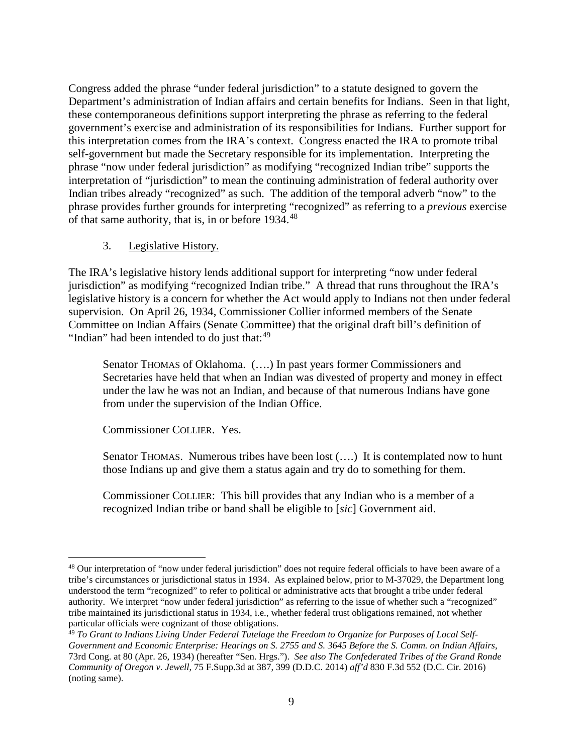Congress added the phrase "under federal jurisdiction" to a statute designed to govern the Department's administration of Indian affairs and certain benefits for Indians. Seen in that light, these contemporaneous definitions support interpreting the phrase as referring to the federal government's exercise and administration of its responsibilities for Indians. Further support for this interpretation comes from the IRA's context. Congress enacted the IRA to promote tribal self-government but made the Secretary responsible for its implementation. Interpreting the phrase "now under federal jurisdiction" as modifying "recognized Indian tribe" supports the interpretation of "jurisdiction" to mean the continuing administration of federal authority over Indian tribes already "recognized" as such. The addition of the temporal adverb "now" to the phrase provides further grounds for interpreting "recognized" as referring to a *previous* exercise of that same authority, that is, in or before 1934.[48](#page-8-0)

### 3. Legislative History.

The IRA's legislative history lends additional support for interpreting "now under federal jurisdiction" as modifying "recognized Indian tribe." A thread that runs throughout the IRA's legislative history is a concern for whether the Act would apply to Indians not then under federal supervision. On April 26, 1934, Commissioner Collier informed members of the Senate Committee on Indian Affairs (Senate Committee) that the original draft bill's definition of "Indian" had been intended to do just that: $49$ 

Senator THOMAS of Oklahoma. (….) In past years former Commissioners and Secretaries have held that when an Indian was divested of property and money in effect under the law he was not an Indian, and because of that numerous Indians have gone from under the supervision of the Indian Office.

Commissioner COLLIER. Yes.

Senator THOMAS. Numerous tribes have been lost (....) It is contemplated now to hunt those Indians up and give them a status again and try do to something for them.

Commissioner COLLIER: This bill provides that any Indian who is a member of a recognized Indian tribe or band shall be eligible to [*sic*] Government aid.

<span id="page-8-0"></span><sup>48</sup> Our interpretation of "now under federal jurisdiction" does not require federal officials to have been aware of a tribe's circumstances or jurisdictional status in 1934. As explained below, prior to M-37029, the Department long understood the term "recognized" to refer to political or administrative acts that brought a tribe under federal authority. We interpret "now under federal jurisdiction" as referring to the issue of whether such a "recognized" tribe maintained its jurisdictional status in 1934, i.e., whether federal trust obligations remained, not whether particular officials were cognizant of those obligations.

<span id="page-8-1"></span><sup>49</sup> *To Grant to Indians Living Under Federal Tutelage the Freedom to Organize for Purposes of Local Self-Government and Economic Enterprise: Hearings on S. 2755 and S. 3645 Before the S. Comm. on Indian Affairs*, 73rd Cong. at 80 (Apr. 26, 1934) (hereafter "Sen. Hrgs."). *See also The Confederated Tribes of the Grand Ronde Community of Oregon v. Jewell*, 75 F.Supp.3d at 387, 399 (D.D.C. 2014) *aff'd* 830 F.3d 552 (D.C. Cir. 2016) (noting same).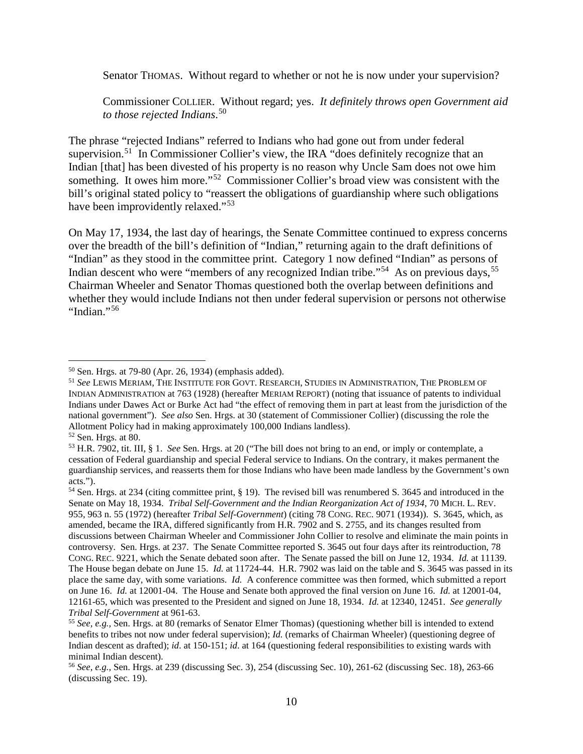Senator THOMAS. Without regard to whether or not he is now under your supervision?

Commissioner COLLIER. Without regard; yes. *It definitely throws open Government aid to those rejected Indians*. [50](#page-9-0)

The phrase "rejected Indians" referred to Indians who had gone out from under federal supervision.<sup>51</sup> In Commissioner Collier's view, the IRA "does definitely recognize that an Indian [that] has been divested of his property is no reason why Uncle Sam does not owe him something. It owes him more."<sup>[52](#page-9-2)</sup> Commissioner Collier's broad view was consistent with the bill's original stated policy to "reassert the obligations of guardianship where such obligations have been improvidently relaxed."<sup>[53](#page-9-3)</sup>

On May 17, 1934, the last day of hearings, the Senate Committee continued to express concerns over the breadth of the bill's definition of "Indian," returning again to the draft definitions of "Indian" as they stood in the committee print. Category 1 now defined "Indian" as persons of Indian descent who were "members of any recognized Indian tribe."<sup>54</sup> As on previous days,  $55$ Chairman Wheeler and Senator Thomas questioned both the overlap between definitions and whether they would include Indians not then under federal supervision or persons not otherwise "Indian."[56](#page-9-6)

<span id="page-9-0"></span><sup>50</sup> Sen. Hrgs. at 79-80 (Apr. 26, 1934) (emphasis added).

<span id="page-9-1"></span><sup>51</sup> *See* LEWIS MERIAM, THE INSTITUTE FOR GOVT. RESEARCH, STUDIES IN ADMINISTRATION, THE PROBLEM OF INDIAN ADMINISTRATION at 763 (1928) (hereafter MERIAM REPORT) (noting that issuance of patents to individual Indians under Dawes Act or Burke Act had "the effect of removing them in part at least from the jurisdiction of the national government"). *See also* Sen. Hrgs. at 30 (statement of Commissioner Collier) (discussing the role the Allotment Policy had in making approximately 100,000 Indians landless).

<span id="page-9-2"></span><sup>52</sup> Sen. Hrgs. at 80.

<span id="page-9-3"></span><sup>53</sup> H.R. 7902, tit. III, § 1. *See* Sen. Hrgs. at 20 ("The bill does not bring to an end, or imply or contemplate, a cessation of Federal guardianship and special Federal service to Indians. On the contrary, it makes permanent the guardianship services, and reasserts them for those Indians who have been made landless by the Government's own acts.").

<span id="page-9-4"></span><sup>54</sup> Sen. Hrgs. at 234 (citing committee print, § 19). The revised bill was renumbered S. 3645 and introduced in the Senate on May 18, 1934. *Tribal Self-Government and the Indian Reorganization Act of 1934*, 70 MICH. L. REV. 955, 963 n. 55 (1972) (hereafter *Tribal Self-Government*) (citing 78 CONG. REC. 9071 (1934)). S. 3645, which, as amended, became the IRA, differed significantly from H.R. 7902 and S. 2755, and its changes resulted from discussions between Chairman Wheeler and Commissioner John Collier to resolve and eliminate the main points in controversy. Sen. Hrgs. at 237. The Senate Committee reported S. 3645 out four days after its reintroduction, 78 CONG. REC. 9221, which the Senate debated soon after. The Senate passed the bill on June 12, 1934. *Id.* at 11139. The House began debate on June 15. *Id.* at 11724-44. H.R. 7902 was laid on the table and S. 3645 was passed in its place the same day, with some variations. *Id.* A conference committee was then formed, which submitted a report on June 16. *Id.* at 12001-04. The House and Senate both approved the final version on June 16. *Id.* at 12001-04, 12161-65, which was presented to the President and signed on June 18, 1934. *Id.* at 12340, 12451. *See generally Tribal Self-Government* at 961-63.

<span id="page-9-5"></span><sup>55</sup> *See, e.g.,* Sen. Hrgs. at 80 (remarks of Senator Elmer Thomas) (questioning whether bill is intended to extend benefits to tribes not now under federal supervision); *Id.* (remarks of Chairman Wheeler) (questioning degree of Indian descent as drafted); *id*. at 150-151; *id*. at 164 (questioning federal responsibilities to existing wards with minimal Indian descent).

<span id="page-9-6"></span><sup>56</sup> *See, e.g.,* Sen. Hrgs. at 239 (discussing Sec. 3), 254 (discussing Sec. 10), 261-62 (discussing Sec. 18), 263-66 (discussing Sec. 19).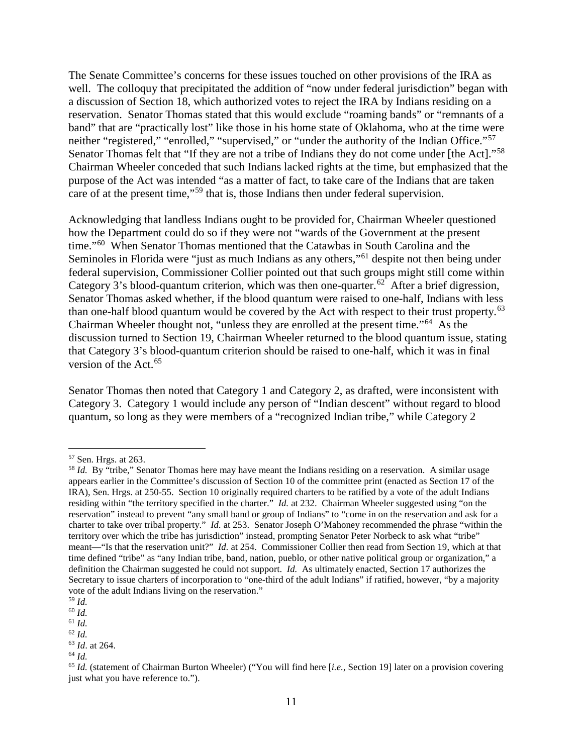The Senate Committee's concerns for these issues touched on other provisions of the IRA as well. The colloquy that precipitated the addition of "now under federal jurisdiction" began with a discussion of Section 18, which authorized votes to reject the IRA by Indians residing on a reservation. Senator Thomas stated that this would exclude "roaming bands" or "remnants of a band" that are "practically lost" like those in his home state of Oklahoma, who at the time were neither "registered," "enrolled," "supervised," or "under the authority of the Indian Office."<sup>57</sup> Senator Thomas felt that "If they are not a tribe of Indians they do not come under [the Act]."<sup>[58](#page-10-1)</sup> Chairman Wheeler conceded that such Indians lacked rights at the time, but emphasized that the purpose of the Act was intended "as a matter of fact, to take care of the Indians that are taken care of at the present time,"<sup>[59](#page-10-2)</sup> that is, those Indians then under federal supervision.

Acknowledging that landless Indians ought to be provided for, Chairman Wheeler questioned how the Department could do so if they were not "wards of the Government at the present time."[60](#page-10-3) When Senator Thomas mentioned that the Catawbas in South Carolina and the Seminoles in Florida were "just as much Indians as any others,"<sup>61</sup> despite not then being under federal supervision, Commissioner Collier pointed out that such groups might still come within Category 3's blood-quantum criterion, which was then one-quarter.<sup>[62](#page-10-5)</sup> After a brief digression, Senator Thomas asked whether, if the blood quantum were raised to one-half, Indians with less than one-half blood quantum would be covered by the Act with respect to their trust property. $63$ Chairman Wheeler thought not, "unless they are enrolled at the present time."[64](#page-10-7) As the discussion turned to Section 19, Chairman Wheeler returned to the blood quantum issue, stating that Category 3's blood-quantum criterion should be raised to one-half, which it was in final version of the Act.[65](#page-10-8)

Senator Thomas then noted that Category 1 and Category 2, as drafted, were inconsistent with Category 3. Category 1 would include any person of "Indian descent" without regard to blood quantum, so long as they were members of a "recognized Indian tribe," while Category 2

<span id="page-10-0"></span><sup>57</sup> Sen. Hrgs. at 263.

<span id="page-10-1"></span><sup>&</sup>lt;sup>58</sup> *Id.* By "tribe," Senator Thomas here may have meant the Indians residing on a reservation. A similar usage appears earlier in the Committee's discussion of Section 10 of the committee print (enacted as Section 17 of the IRA), Sen. Hrgs. at 250-55. Section 10 originally required charters to be ratified by a vote of the adult Indians residing within "the territory specified in the charter." *Id.* at 232. Chairman Wheeler suggested using "on the reservation" instead to prevent "any small band or group of Indians" to "come in on the reservation and ask for a charter to take over tribal property." *Id.* at 253. Senator Joseph O'Mahoney recommended the phrase "within the territory over which the tribe has jurisdiction" instead, prompting Senator Peter Norbeck to ask what "tribe" meant—"Is that the reservation unit?" *Id.* at 254. Commissioner Collier then read from Section 19, which at that time defined "tribe" as "any Indian tribe, band, nation, pueblo, or other native political group or organization," a definition the Chairman suggested he could not support. *Id.* As ultimately enacted, Section 17 authorizes the Secretary to issue charters of incorporation to "one-third of the adult Indians" if ratified, however, "by a majority vote of the adult Indians living on the reservation."

<sup>59</sup> *Id.*

<span id="page-10-3"></span><span id="page-10-2"></span><sup>60</sup> *Id.* <sup>61</sup> *Id.*

<span id="page-10-5"></span><span id="page-10-4"></span><sup>62</sup> *Id.*

<span id="page-10-6"></span><sup>63</sup> *Id*. at 264.

<span id="page-10-7"></span><sup>64</sup> *Id.*

<span id="page-10-8"></span><sup>65</sup> *Id.* (statement of Chairman Burton Wheeler) ("You will find here [*i.e.*, Section 19] later on a provision covering just what you have reference to.").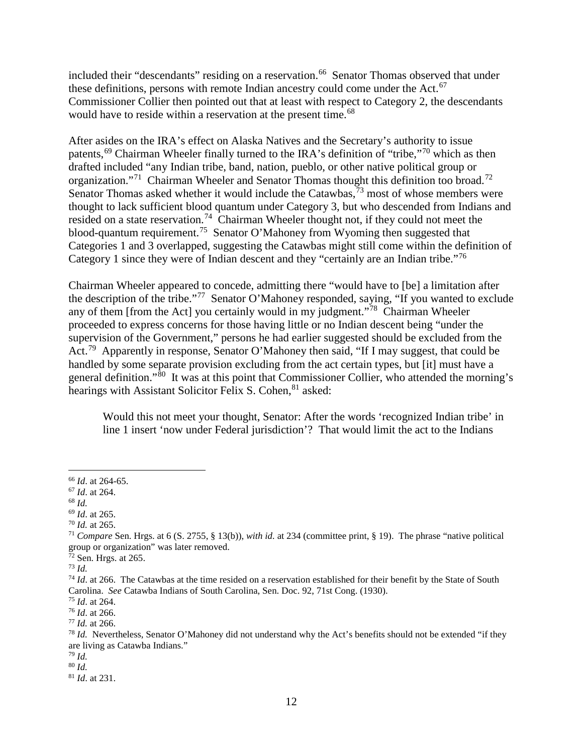included their "descendants" residing on a reservation.<sup>66</sup> Senator Thomas observed that under these definitions, persons with remote Indian ancestry could come under the Act.<sup>67</sup> Commissioner Collier then pointed out that at least with respect to Category 2, the descendants would have to reside within a reservation at the present time.<sup>[68](#page-11-2)</sup>

After asides on the IRA's effect on Alaska Natives and the Secretary's authority to issue patents,<sup>69</sup> Chairman Wheeler finally turned to the IRA's definition of "tribe,"<sup>70</sup> which as then drafted included "any Indian tribe, band, nation, pueblo, or other native political group or organization."<sup>71</sup> Chairman Wheeler and Senator Thomas thought this definition too broad.<sup>72</sup> Senator Thomas asked whether it would include the Catawbas,  $\frac{73}{1}$  $\frac{73}{1}$  $\frac{73}{1}$  most of whose members were thought to lack sufficient blood quantum under Category 3, but who descended from Indians and resided on a state reservation.<sup>74</sup> Chairman Wheeler thought not, if they could not meet the blood-quantum requirement.[75](#page-11-9) Senator O'Mahoney from Wyoming then suggested that Categories 1 and 3 overlapped, suggesting the Catawbas might still come within the definition of Category 1 since they were of Indian descent and they "certainly are an Indian tribe."<sup>[76](#page-11-10)</sup>

Chairman Wheeler appeared to concede, admitting there "would have to [be] a limitation after the description of the tribe."[77](#page-11-11) Senator O'Mahoney responded, saying, "If you wanted to exclude any of them [from the Act] you certainly would in my judgment."<sup>78</sup> Chairman Wheeler proceeded to express concerns for those having little or no Indian descent being "under the supervision of the Government," persons he had earlier suggested should be excluded from the Act.<sup>[79](#page-11-13)</sup> Apparently in response, Senator O'Mahoney then said, "If I may suggest, that could be handled by some separate provision excluding from the act certain types, but [it] must have a general definition."<sup>[80](#page-11-14)</sup> It was at this point that Commissioner Collier, who attended the morning's hearings with Assistant Solicitor Felix S. Cohen, <sup>[81](#page-11-15)</sup> asked:

Would this not meet your thought, Senator: After the words 'recognized Indian tribe' in line 1 insert 'now under Federal jurisdiction'? That would limit the act to the Indians

<span id="page-11-15"></span><sup>81</sup> *Id*. at 231.

<span id="page-11-0"></span><sup>66</sup> *Id*. at 264-65.

<span id="page-11-1"></span><sup>67</sup> *Id*. at 264.

<span id="page-11-2"></span><sup>68</sup> *Id.*

<span id="page-11-3"></span><sup>69</sup> *Id*. at 265.

<span id="page-11-4"></span><sup>70</sup> *Id.* at 265.

<span id="page-11-5"></span><sup>71</sup> *Compare* Sen. Hrgs. at 6 (S. 2755, § 13(b)), *with id.* at 234 (committee print, § 19). The phrase "native political group or organization" was later removed.

 $72$  Sen. Hrgs. at 265.

<span id="page-11-7"></span><span id="page-11-6"></span><sup>73</sup> *Id.*

<span id="page-11-8"></span><sup>&</sup>lt;sup>74</sup> *Id.* at 266. The Catawbas at the time resided on a reservation established for their benefit by the State of South Carolina. *See* Catawba Indians of South Carolina, Sen. Doc. 92, 71st Cong. (1930).

<span id="page-11-9"></span><sup>75</sup> *Id*. at 264.

<span id="page-11-10"></span><sup>76</sup> *Id*. at 266.

<span id="page-11-11"></span><sup>77</sup> *Id.* at 266.

<span id="page-11-12"></span><sup>78</sup> *Id.* Nevertheless, Senator O'Mahoney did not understand why the Act's benefits should not be extended "if they are living as Catawba Indians."

<span id="page-11-13"></span><sup>79</sup> *Id.*

<span id="page-11-14"></span><sup>80</sup> *Id.*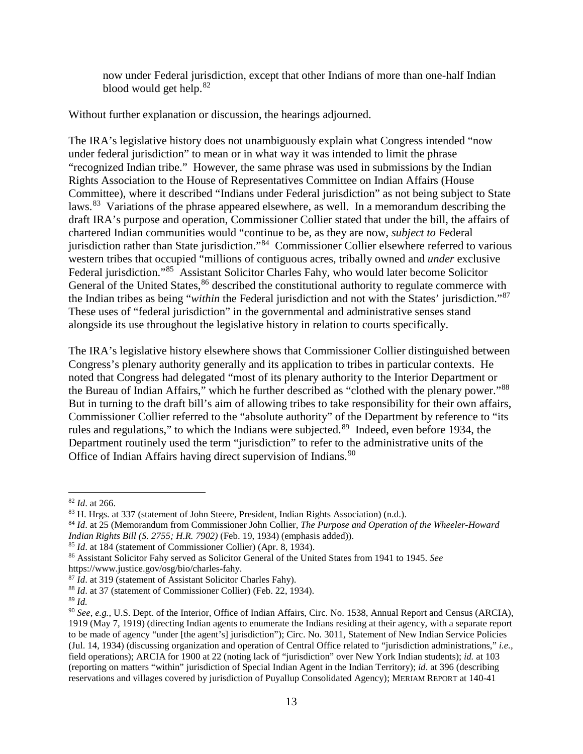now under Federal jurisdiction, except that other Indians of more than one-half Indian blood would get help.<sup>[82](#page-12-0)</sup>

Without further explanation or discussion, the hearings adjourned.

The IRA's legislative history does not unambiguously explain what Congress intended "now under federal jurisdiction" to mean or in what way it was intended to limit the phrase "recognized Indian tribe." However, the same phrase was used in submissions by the Indian Rights Association to the House of Representatives Committee on Indian Affairs (House Committee), where it described "Indians under Federal jurisdiction" as not being subject to State laws.<sup>83</sup> Variations of the phrase appeared elsewhere, as well. In a memorandum describing the draft IRA's purpose and operation, Commissioner Collier stated that under the bill, the affairs of chartered Indian communities would "continue to be, as they are now, *subject to* Federal jurisdiction rather than State jurisdiction."[84](#page-12-2) Commissioner Collier elsewhere referred to various western tribes that occupied "millions of contiguous acres, tribally owned and *under* exclusive Federal jurisdiction."<sup>85</sup> Assistant Solicitor Charles Fahy, who would later become Solicitor General of the United States,  $86$  described the constitutional authority to regulate commerce with the Indian tribes as being "*within* the Federal jurisdiction and not with the States' jurisdiction."[87](#page-12-5) These uses of "federal jurisdiction" in the governmental and administrative senses stand alongside its use throughout the legislative history in relation to courts specifically.

The IRA's legislative history elsewhere shows that Commissioner Collier distinguished between Congress's plenary authority generally and its application to tribes in particular contexts. He noted that Congress had delegated "most of its plenary authority to the Interior Department or the Bureau of Indian Affairs," which he further described as "clothed with the plenary power."[88](#page-12-6) But in turning to the draft bill's aim of allowing tribes to take responsibility for their own affairs, Commissioner Collier referred to the "absolute authority" of the Department by reference to "its rules and regulations," to which the Indians were subjected.<sup>[89](#page-12-7)</sup> Indeed, even before 1934, the Department routinely used the term "jurisdiction" to refer to the administrative units of the Office of Indian Affairs having direct supervision of Indians.<sup>[90](#page-12-8)</sup>

<span id="page-12-0"></span><sup>82</sup> *Id*. at 266.

<span id="page-12-1"></span><sup>83</sup> H. Hrgs. at 337 (statement of John Steere, President, Indian Rights Association) (n.d.).

<span id="page-12-2"></span><sup>84</sup> *Id*. at 25 (Memorandum from Commissioner John Collier, *The Purpose and Operation of the Wheeler-Howard Indian Rights Bill (S. 2755; H.R. 7902)* (Feb. 19, 1934) (emphasis added)).

<span id="page-12-3"></span><sup>85</sup> *Id*. at 184 (statement of Commissioner Collier) (Apr. 8, 1934).

<span id="page-12-4"></span><sup>86</sup> Assistant Solicitor Fahy served as Solicitor General of the United States from 1941 to 1945. *See* https://www.justice.gov/osg/bio/charles-fahy.

<span id="page-12-5"></span><sup>87</sup> *Id*. at 319 (statement of Assistant Solicitor Charles Fahy).

<span id="page-12-6"></span><sup>88</sup> *Id*. at 37 (statement of Commissioner Collier) (Feb. 22, 1934).

<span id="page-12-7"></span><sup>89</sup> *Id.*

<span id="page-12-8"></span><sup>90</sup> *See*, *e.g.*, U.S. Dept. of the Interior, Office of Indian Affairs, Circ. No. 1538, Annual Report and Census (ARCIA), 1919 (May 7, 1919) (directing Indian agents to enumerate the Indians residing at their agency, with a separate report to be made of agency "under [the agent's] jurisdiction"); Circ. No. 3011, Statement of New Indian Service Policies (Jul. 14, 1934) (discussing organization and operation of Central Office related to "jurisdiction administrations," *i.e.,*  field operations); ARCIA for 1900 at 22 (noting lack of "jurisdiction" over New York Indian students); *id.* at 103 (reporting on matters "within" jurisdiction of Special Indian Agent in the Indian Territory); *id*. at 396 (describing reservations and villages covered by jurisdiction of Puyallup Consolidated Agency); MERIAM REPORT at 140-41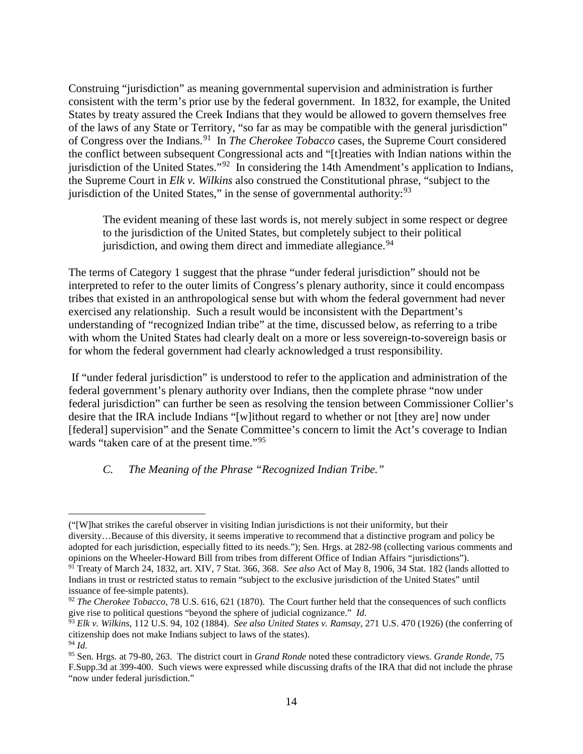Construing "jurisdiction" as meaning governmental supervision and administration is further consistent with the term's prior use by the federal government. In 1832, for example, the United States by treaty assured the Creek Indians that they would be allowed to govern themselves free of the laws of any State or Territory, "so far as may be compatible with the general jurisdiction" of Congress over the Indians.[91](#page-13-0) In *The Cherokee Tobacco* cases, the Supreme Court considered the conflict between subsequent Congressional acts and "[t]reaties with Indian nations within the jurisdiction of the United States."[92](#page-13-1) In considering the 14th Amendment's application to Indians, the Supreme Court in *Elk v. Wilkins* also construed the Constitutional phrase, "subject to the jurisdiction of the United States," in the sense of governmental authority: $93$ 

The evident meaning of these last words is, not merely subject in some respect or degree to the jurisdiction of the United States, but completely subject to their political jurisdiction, and owing them direct and immediate allegiance.  $94$ 

The terms of Category 1 suggest that the phrase "under federal jurisdiction" should not be interpreted to refer to the outer limits of Congress's plenary authority, since it could encompass tribes that existed in an anthropological sense but with whom the federal government had never exercised any relationship. Such a result would be inconsistent with the Department's understanding of "recognized Indian tribe" at the time, discussed below, as referring to a tribe with whom the United States had clearly dealt on a more or less sovereign-to-sovereign basis or for whom the federal government had clearly acknowledged a trust responsibility.

 If "under federal jurisdiction" is understood to refer to the application and administration of the federal government's plenary authority over Indians, then the complete phrase "now under federal jurisdiction" can further be seen as resolving the tension between Commissioner Collier's desire that the IRA include Indians "[w]ithout regard to whether or not [they are] now under [federal] supervision" and the Senate Committee's concern to limit the Act's coverage to Indian wards "taken care of at the present time."<sup>[95](#page-13-4)</sup>

#### *C. The Meaning of the Phrase "Recognized Indian Tribe."*

<sup>(&</sup>quot;[W]hat strikes the careful observer in visiting Indian jurisdictions is not their uniformity, but their diversity…Because of this diversity, it seems imperative to recommend that a distinctive program and policy be adopted for each jurisdiction, especially fitted to its needs."); Sen. Hrgs. at 282-98 (collecting various comments and opinions on the Wheeler-Howard Bill from tribes from different Office of Indian Affairs "jurisdictions").

<span id="page-13-0"></span><sup>91</sup> Treaty of March 24, 1832, art. XIV, 7 Stat. 366, 368. *See also* Act of May 8, 1906, 34 Stat. 182 (lands allotted to Indians in trust or restricted status to remain "subject to the exclusive jurisdiction of the United States" until issuance of fee-simple patents).

<span id="page-13-1"></span><sup>&</sup>lt;sup>92</sup> *The Cherokee Tobacco*, 78 U.S. 616, 621 (1870). The Court further held that the consequences of such conflicts give rise to political questions "beyond the sphere of judicial cognizance." *Id.*

<span id="page-13-2"></span><sup>93</sup> *Elk v. Wilkins*, 112 U.S. 94, 102 (1884). *See also United States v. Ramsay*, 271 U.S. 470 (1926) (the conferring of citizenship does not make Indians subject to laws of the states). <sup>94</sup> *Id.*

<span id="page-13-4"></span><span id="page-13-3"></span><sup>95</sup> Sen. Hrgs. at 79-80, 263. The district court in *Grand Ronde* noted these contradictory views. *Grande Ronde*, 75 F.Supp.3d at 399-400. Such views were expressed while discussing drafts of the IRA that did not include the phrase "now under federal jurisdiction."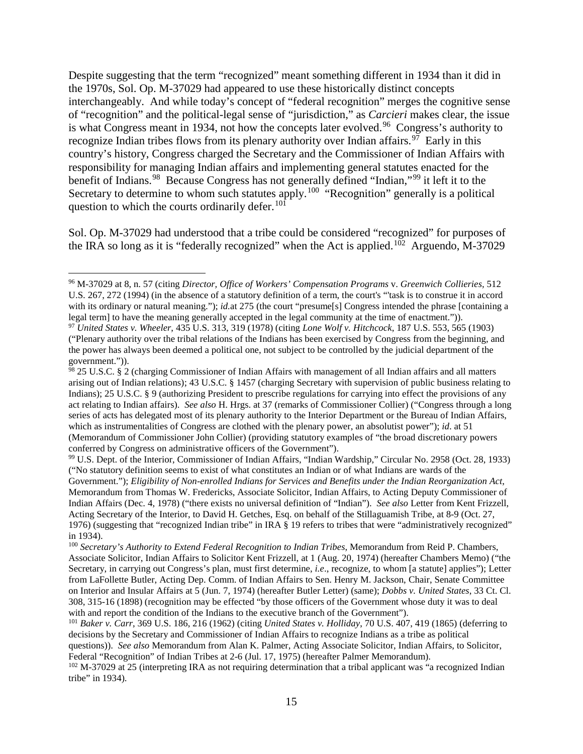Despite suggesting that the term "recognized" meant something different in 1934 than it did in the 1970s, Sol. Op. M-37029 had appeared to use these historically distinct concepts interchangeably. And while today's concept of "federal recognition" merges the cognitive sense of "recognition" and the political-legal sense of "jurisdiction," as *Carcieri* makes clear, the issue is what Congress meant in 1934, not how the concepts later evolved.<sup>[96](#page-14-0)</sup> Congress's authority to recognize Indian tribes flows from its plenary authority over Indian affairs.<sup>97</sup> Early in this country's history, Congress charged the Secretary and the Commissioner of Indian Affairs with responsibility for managing Indian affairs and implementing general statutes enacted for the benefit of Indians.<sup>[98](#page-14-2)</sup> Because Congress has not generally defined "Indian,"<sup>[99](#page-14-3)</sup> it left it to the Secretary to determine to whom such statutes apply.<sup>[100](#page-14-4)</sup> "Recognition" generally is a political question to which the courts ordinarily defer.<sup>[101](#page-14-5)</sup>

Sol. Op. M-37029 had understood that a tribe could be considered "recognized" for purposes of the IRA so long as it is "federally recognized" when the Act is applied.<sup>[102](#page-14-6)</sup> Arguendo, M-37029

<span id="page-14-3"></span><sup>99</sup> U.S. Dept. of the Interior, Commissioner of Indian Affairs, "Indian Wardship," Circular No. 2958 (Oct. 28, 1933) ("No statutory definition seems to exist of what constitutes an Indian or of what Indians are wards of the

Government."); *Eligibility of Non-enrolled Indians for Services and Benefits under the Indian Reorganization Act*, Memorandum from Thomas W. Fredericks, Associate Solicitor, Indian Affairs, to Acting Deputy Commissioner of Indian Affairs (Dec. 4, 1978) ("there exists no universal definition of "Indian"). *See also* Letter from Kent Frizzell, Acting Secretary of the Interior, to David H. Getches, Esq. on behalf of the Stillaguamish Tribe, at 8-9 (Oct. 27, 1976) (suggesting that "recognized Indian tribe" in IRA § 19 refers to tribes that were "administratively recognized" in 1934).

<span id="page-14-0"></span><sup>96</sup> M-37029 at 8, n. 57 (citing *Director, Office of Workers' Compensation Programs* v. *Greenwich Collieries,* 512 U.S. 267, 272 (1994) (in the absence of a statutory definition of a term, the court's "'task is to construe it in accord with its ordinary or natural meaning."); *id.*at 275 (the court "presume[s] Congress intended the phrase [containing a legal term] to have the meaning generally accepted in the legal community at the time of enactment.")).

<span id="page-14-1"></span><sup>97</sup> *United States v. Wheeler*, 435 U.S. 313, 319 (1978) (citing *Lone Wolf v. Hitchcock*, 187 U.S. 553, 565 (1903) ("Plenary authority over the tribal relations of the Indians has been exercised by Congress from the beginning, and the power has always been deemed a political one, not subject to be controlled by the judicial department of the government.")).

<span id="page-14-2"></span> $\frac{98}{25}$  25 U.S.C. § 2 (charging Commissioner of Indian Affairs with management of all Indian affairs and all matters arising out of Indian relations); 43 U.S.C. § 1457 (charging Secretary with supervision of public business relating to Indians); 25 U.S.C. § 9 (authorizing President to prescribe regulations for carrying into effect the provisions of any act relating to Indian affairs). *See also* H. Hrgs. at 37 (remarks of Commissioner Collier) ("Congress through a long series of acts has delegated most of its plenary authority to the Interior Department or the Bureau of Indian Affairs, which as instrumentalities of Congress are clothed with the plenary power, an absolutist power"); *id*. at 51 (Memorandum of Commissioner John Collier) (providing statutory examples of "the broad discretionary powers conferred by Congress on administrative officers of the Government").

<span id="page-14-4"></span><sup>100</sup> *Secretary's Authority to Extend Federal Recognition to Indian Tribes*, Memorandum from Reid P. Chambers, Associate Solicitor, Indian Affairs to Solicitor Kent Frizzell, at 1 (Aug. 20, 1974) (hereafter Chambers Memo) ("the Secretary, in carrying out Congress's plan, must first determine, *i.e*., recognize, to whom [a statute] applies"); Letter from LaFollette Butler, Acting Dep. Comm. of Indian Affairs to Sen. Henry M. Jackson, Chair, Senate Committee on Interior and Insular Affairs at 5 (Jun. 7, 1974) (hereafter Butler Letter) (same); *Dobbs v. United States*, 33 Ct. Cl. 308, 315-16 (1898) (recognition may be effected "by those officers of the Government whose duty it was to deal with and report the condition of the Indians to the executive branch of the Government").

<span id="page-14-5"></span><sup>101</sup> *Baker v. Carr*, 369 U.S. 186, 216 (1962) (citing *United States v. Holliday*, 70 U.S. 407, 419 (1865) (deferring to decisions by the Secretary and Commissioner of Indian Affairs to recognize Indians as a tribe as political questions)). *See also* Memorandum from Alan K. Palmer, Acting Associate Solicitor, Indian Affairs, to Solicitor,

<span id="page-14-6"></span>Federal "Recognition" of Indian Tribes at 2-6 (Jul. 17, 1975) (hereafter Palmer Memorandum).<br><sup>102</sup> M-37029 at 25 (interpreting IRA as not requiring determination that a tribal applicant was "a recognized Indian tribe" in 1934).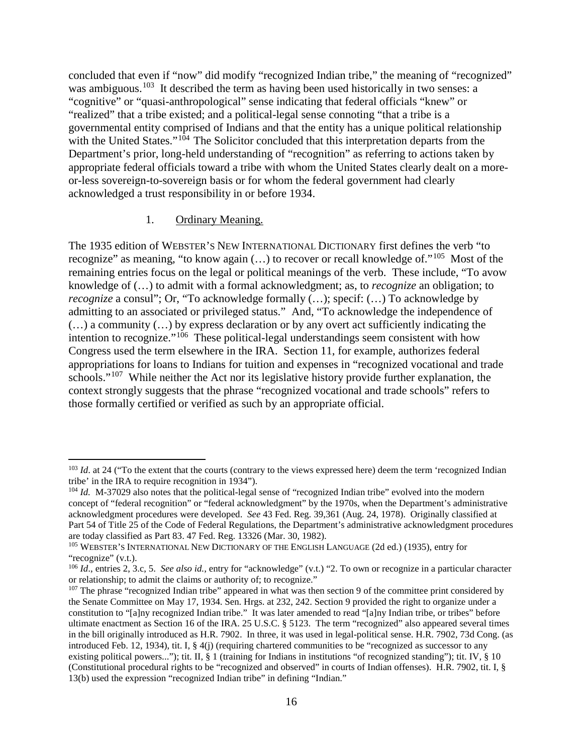concluded that even if "now" did modify "recognized Indian tribe," the meaning of "recognized" was ambiguous.<sup>[103](#page-15-0)</sup> It described the term as having been used historically in two senses: a "cognitive" or "quasi-anthropological" sense indicating that federal officials "knew" or "realized" that a tribe existed; and a political-legal sense connoting "that a tribe is a governmental entity comprised of Indians and that the entity has a unique political relationship with the United States." $104$  The Solicitor concluded that this interpretation departs from the Department's prior, long-held understanding of "recognition" as referring to actions taken by appropriate federal officials toward a tribe with whom the United States clearly dealt on a moreor-less sovereign-to-sovereign basis or for whom the federal government had clearly acknowledged a trust responsibility in or before 1934.

#### 1. Ordinary Meaning.

The 1935 edition of WEBSTER'S NEW INTERNATIONAL DICTIONARY first defines the verb "to recognize" as meaning, "to know again  $(...)$  to recover or recall knowledge of."<sup>[105](#page-15-2)</sup> Most of the remaining entries focus on the legal or political meanings of the verb. These include, "To avow knowledge of (…) to admit with a formal acknowledgment; as, to *recognize* an obligation; to *recognize* a consul"; Or, "To acknowledge formally (...); specif: (...) To acknowledge by admitting to an associated or privileged status." And, "To acknowledge the independence of (…) a community (…) by express declaration or by any overt act sufficiently indicating the intention to recognize."[106](#page-15-3) These political-legal understandings seem consistent with how Congress used the term elsewhere in the IRA. Section 11, for example, authorizes federal appropriations for loans to Indians for tuition and expenses in "recognized vocational and trade schools."<sup>[107](#page-15-4)</sup> While neither the Act nor its legislative history provide further explanation, the context strongly suggests that the phrase "recognized vocational and trade schools" refers to those formally certified or verified as such by an appropriate official.

<span id="page-15-0"></span><sup>&</sup>lt;sup>103</sup> *Id*. at 24 ("To the extent that the courts (contrary to the views expressed here) deem the term 'recognized Indian tribe' in the IRA to require recognition in 1934").

<span id="page-15-1"></span><sup>&</sup>lt;sup>104</sup> *Id.* M-37029 also notes that the political-legal sense of "recognized Indian tribe" evolved into the modern concept of "federal recognition" or "federal acknowledgment" by the 1970s, when the Department's administrative acknowledgment procedures were developed. *See* 43 Fed. Reg. 39,361 (Aug. 24, 1978). Originally classified at Part 54 of Title 25 of the Code of Federal Regulations, the Department's administrative acknowledgment procedures are today classified as Part 83. 47 Fed. Reg. 13326 (Mar. 30, 1982).

<span id="page-15-2"></span><sup>105</sup> WEBSTER'S INTERNATIONAL NEW DICTIONARY OF THE ENGLISH LANGUAGE (2d ed.) (1935), entry for "recognize" (v.t.).

<span id="page-15-3"></span><sup>106</sup> *Id*., entries 2, 3.c, 5. *See also id.*, entry for "acknowledge" (v.t.) "2. To own or recognize in a particular character or relationship; to admit the claims or authority of; to recognize."

<span id="page-15-4"></span><sup>&</sup>lt;sup>107</sup> The phrase "recognized Indian tribe" appeared in what was then section 9 of the committee print considered by the Senate Committee on May 17, 1934. Sen. Hrgs. at 232, 242. Section 9 provided the right to organize under a constitution to "[a]ny recognized Indian tribe." It was later amended to read "[a]ny Indian tribe, or tribes" before ultimate enactment as Section 16 of the IRA. 25 U.S.C. § 5123. The term "recognized" also appeared several times in the bill originally introduced as H.R. 7902. In three, it was used in legal-political sense. H.R. 7902, 73d Cong. (as introduced Feb. 12, 1934), tit. I, § 4(j) (requiring chartered communities to be "recognized as successor to any existing political powers..."); tit. II, § 1 (training for Indians in institutions "of recognized standing"); tit. IV, § 10 (Constitutional procedural rights to be "recognized and observed" in courts of Indian offenses). H.R. 7902, tit. I, § 13(b) used the expression "recognized Indian tribe" in defining "Indian."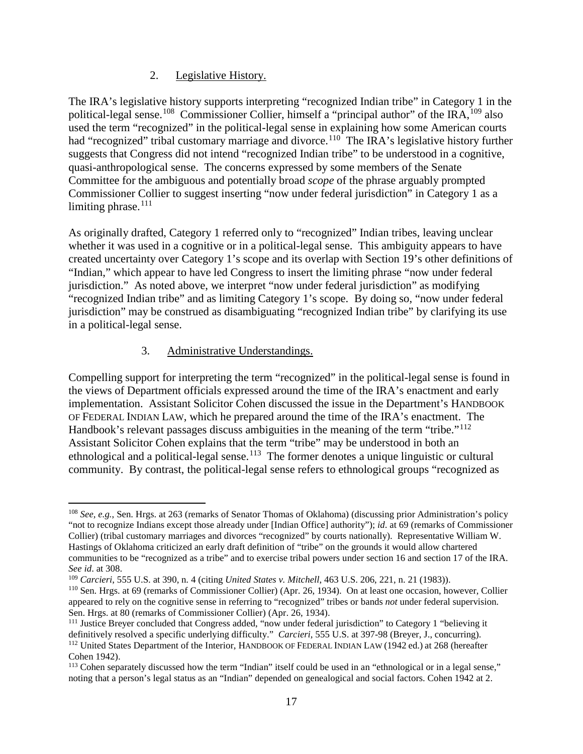## 2. Legislative History.

The IRA's legislative history supports interpreting "recognized Indian tribe" in Category 1 in the political-legal sense.<sup>[108](#page-16-0)</sup> Commissioner Collier, himself a "principal author" of the IRA,<sup>[109](#page-16-1)</sup> also used the term "recognized" in the political-legal sense in explaining how some American courts had "recognized" tribal customary marriage and divorce.<sup>110</sup> The IRA's legislative history further suggests that Congress did not intend "recognized Indian tribe" to be understood in a cognitive, quasi-anthropological sense. The concerns expressed by some members of the Senate Committee for the ambiguous and potentially broad *scope* of the phrase arguably prompted Commissioner Collier to suggest inserting "now under federal jurisdiction" in Category 1 as a limiting phrase.<sup>[111](#page-16-3)</sup>

As originally drafted, Category 1 referred only to "recognized" Indian tribes, leaving unclear whether it was used in a cognitive or in a political-legal sense. This ambiguity appears to have created uncertainty over Category 1's scope and its overlap with Section 19's other definitions of "Indian," which appear to have led Congress to insert the limiting phrase "now under federal jurisdiction." As noted above, we interpret "now under federal jurisdiction" as modifying "recognized Indian tribe" and as limiting Category 1's scope. By doing so, "now under federal jurisdiction" may be construed as disambiguating "recognized Indian tribe" by clarifying its use in a political-legal sense.

## 3. Administrative Understandings.

Compelling support for interpreting the term "recognized" in the political-legal sense is found in the views of Department officials expressed around the time of the IRA's enactment and early implementation. Assistant Solicitor Cohen discussed the issue in the Department's HANDBOOK OF FEDERAL INDIAN LAW, which he prepared around the time of the IRA's enactment. The Handbook's relevant passages discuss ambiguities in the meaning of the term "tribe."<sup>[112](#page-16-4)</sup> Assistant Solicitor Cohen explains that the term "tribe" may be understood in both an ethnological and a political-legal sense.<sup>[113](#page-16-5)</sup> The former denotes a unique linguistic or cultural community. By contrast, the political-legal sense refers to ethnological groups "recognized as

<span id="page-16-0"></span><sup>108</sup> *See, e.g.*, Sen. Hrgs. at 263 (remarks of Senator Thomas of Oklahoma) (discussing prior Administration's policy "not to recognize Indians except those already under [Indian Office] authority"); *id*. at 69 (remarks of Commissioner Collier) (tribal customary marriages and divorces "recognized" by courts nationally). Representative William W. Hastings of Oklahoma criticized an early draft definition of "tribe" on the grounds it would allow chartered communities to be "recognized as a tribe" and to exercise tribal powers under section 16 and section 17 of the IRA. *See id*. at 308.

<span id="page-16-1"></span><sup>109</sup> *Carcieri*, 555 U.S. at 390, n. 4 (citing *United States v. Mitchell*, 463 U.S. 206, 221, n. 21 (1983)).

<span id="page-16-2"></span><sup>110</sup> Sen. Hrgs. at 69 (remarks of Commissioner Collier) (Apr. 26, 1934). On at least one occasion, however, Collier appeared to rely on the cognitive sense in referring to "recognized" tribes or bands *not* under federal supervision. Sen. Hrgs. at 80 (remarks of Commissioner Collier) (Apr. 26, 1934).

<span id="page-16-3"></span><sup>&</sup>lt;sup>111</sup> Justice Breyer concluded that Congress added, "now under federal jurisdiction" to Category 1 "believing it definitively resolved a specific underlying difficulty." *Carcieri*, 555 U.S. at 397-98 (Breyer, J., concurring). <sup>112</sup> United States Department of the Interior, HANDBOOK OF FEDERAL INDIAN LAW (1942 ed.) at 268 (hereafter Cohen 1942).

<span id="page-16-5"></span><span id="page-16-4"></span><sup>113</sup> Cohen separately discussed how the term "Indian" itself could be used in an "ethnological or in a legal sense," noting that a person's legal status as an "Indian" depended on genealogical and social factors. Cohen 1942 at 2.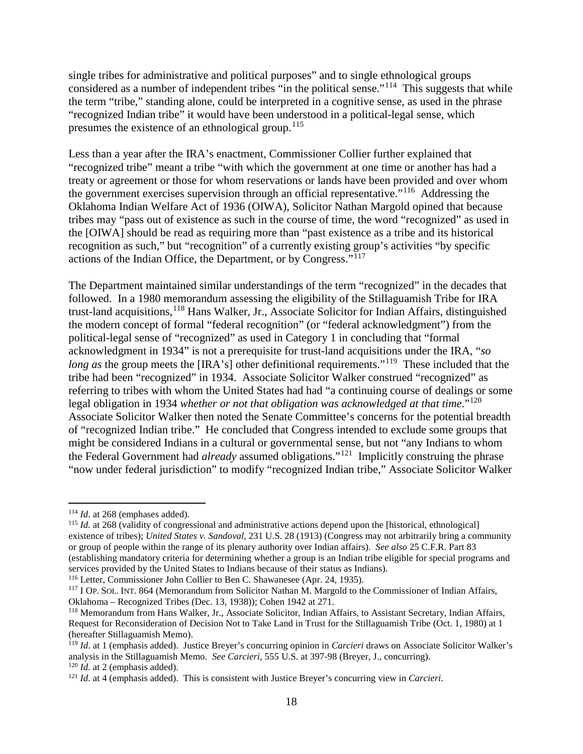single tribes for administrative and political purposes" and to single ethnological groups considered as a number of independent tribes "in the political sense."<sup>114</sup> This suggests that while the term "tribe," standing alone, could be interpreted in a cognitive sense, as used in the phrase "recognized Indian tribe" it would have been understood in a political-legal sense, which presumes the existence of an ethnological group.<sup>[115](#page-17-1)</sup>

Less than a year after the IRA's enactment, Commissioner Collier further explained that "recognized tribe" meant a tribe "with which the government at one time or another has had a treaty or agreement or those for whom reservations or lands have been provided and over whom the government exercises supervision through an official representative."[116](#page-17-2) Addressing the Oklahoma Indian Welfare Act of 1936 (OIWA), Solicitor Nathan Margold opined that because tribes may "pass out of existence as such in the course of time, the word "recognized" as used in the [OIWA] should be read as requiring more than "past existence as a tribe and its historical recognition as such," but "recognition" of a currently existing group's activities "by specific actions of the Indian Office, the Department, or by Congress."[117](#page-17-3)

The Department maintained similar understandings of the term "recognized" in the decades that followed. In a 1980 memorandum assessing the eligibility of the Stillaguamish Tribe for IRA trust-land acquisitions,<sup>[118](#page-17-4)</sup> Hans Walker, Jr., Associate Solicitor for Indian Affairs, distinguished the modern concept of formal "federal recognition" (or "federal acknowledgment") from the political-legal sense of "recognized" as used in Category 1 in concluding that "formal acknowledgment in 1934" is not a prerequisite for trust-land acquisitions under the IRA, "*so long as* the group meets the [IRA's] other definitional requirements."<sup>[119](#page-17-5)</sup> These included that the tribe had been "recognized" in 1934. Associate Solicitor Walker construed "recognized" as referring to tribes with whom the United States had had "a continuing course of dealings or some legal obligation in 1934 *whether or not that obligation was acknowledged at that time*."[120](#page-17-6) Associate Solicitor Walker then noted the Senate Committee's concerns for the potential breadth of "recognized Indian tribe." He concluded that Congress intended to exclude some groups that might be considered Indians in a cultural or governmental sense, but not "any Indians to whom the Federal Government had *already* assumed obligations."[121](#page-17-7) Implicitly construing the phrase "now under federal jurisdiction" to modify "recognized Indian tribe," Associate Solicitor Walker

<span id="page-17-0"></span><sup>114</sup> *Id*. at 268 (emphases added).

<span id="page-17-1"></span><sup>115</sup> *Id.* at 268 (validity of congressional and administrative actions depend upon the [historical, ethnological] existence of tribes); *United States v. Sandoval*, 231 U.S. 28 (1913) (Congress may not arbitrarily bring a community or group of people within the range of its plenary authority over Indian affairs). *See also* 25 C.F.R. Part 83 (establishing mandatory criteria for determining whether a group is an Indian tribe eligible for special programs and services provided by the United States to Indians because of their status as Indians).

<span id="page-17-2"></span><sup>116</sup> Letter, Commissioner John Collier to Ben C. Shawanesee (Apr. 24, 1935).

<span id="page-17-3"></span><sup>117</sup> I OP. SOL. INT. 864 (Memorandum from Solicitor Nathan M. Margold to the Commissioner of Indian Affairs, Oklahoma – Recognized Tribes (Dec. 13, 1938)); Cohen 1942 at 271.

<span id="page-17-4"></span><sup>118</sup> Memorandum from Hans Walker, Jr., Associate Solicitor, Indian Affairs, to Assistant Secretary, Indian Affairs, Request for Reconsideration of Decision Not to Take Land in Trust for the Stillaguamish Tribe (Oct. 1, 1980) at 1 (hereafter Stillaguamish Memo).

<span id="page-17-5"></span><sup>119</sup> *Id*. at 1 (emphasis added). Justice Breyer's concurring opinion in *Carcieri* draws on Associate Solicitor Walker's analysis in the Stillaguamish Memo. *See Carcieri*, 555 U.S. at 397-98 (Breyer, J., concurring). <sup>120</sup> *Id*. at 2 (emphasis added).

<span id="page-17-7"></span><span id="page-17-6"></span><sup>121</sup> *Id*. at 4 (emphasis added). This is consistent with Justice Breyer's concurring view in *Carcieri*.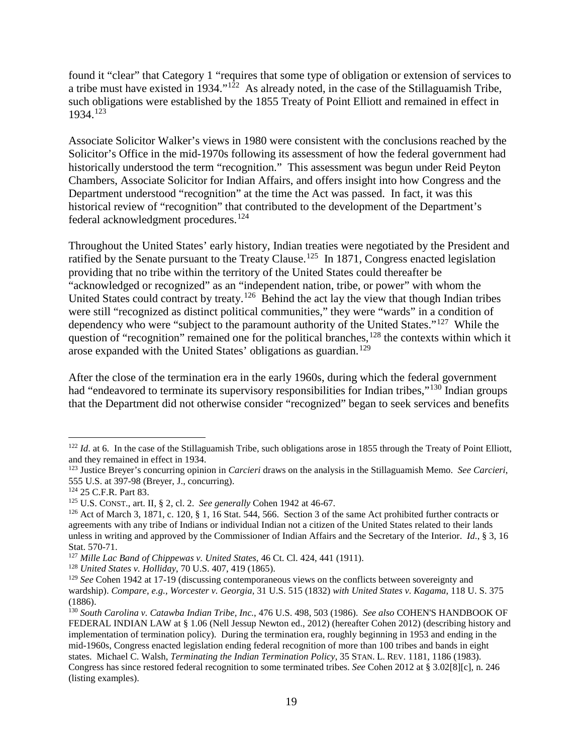found it "clear" that Category 1 "requires that some type of obligation or extension of services to a tribe must have existed in 1934." $1^2$ ? As already noted, in the case of the Stillaguamish Tribe, such obligations were established by the 1855 Treaty of Point Elliott and remained in effect in 1934.[123](#page-18-1)

Associate Solicitor Walker's views in 1980 were consistent with the conclusions reached by the Solicitor's Office in the mid-1970s following its assessment of how the federal government had historically understood the term "recognition." This assessment was begun under Reid Peyton Chambers, Associate Solicitor for Indian Affairs, and offers insight into how Congress and the Department understood "recognition" at the time the Act was passed. In fact, it was this historical review of "recognition" that contributed to the development of the Department's federal acknowledgment procedures.<sup>[124](#page-18-2)</sup>

Throughout the United States' early history, Indian treaties were negotiated by the President and ratified by the Senate pursuant to the Treaty Clause.<sup>[125](#page-18-3)</sup> In 1871, Congress enacted legislation providing that no tribe within the territory of the United States could thereafter be "acknowledged or recognized" as an "independent nation, tribe, or power" with whom the United States could contract by treaty.<sup>126</sup> Behind the act lay the view that though Indian tribes were still "recognized as distinct political communities," they were "wards" in a condition of dependency who were "subject to the paramount authority of the United States."<sup>[127](#page-18-5)</sup> While the question of "recognition" remained one for the political branches,<sup>[128](#page-18-6)</sup> the contexts within which it arose expanded with the United States' obligations as guardian.<sup>[129](#page-18-7)</sup>

After the close of the termination era in the early 1960s, during which the federal government had "endeavored to terminate its supervisory responsibilities for Indian tribes,"<sup>[130](#page-18-8)</sup> Indian groups that the Department did not otherwise consider "recognized" began to seek services and benefits

<span id="page-18-0"></span> $122$  *Id.* at 6. In the case of the Stillaguamish Tribe, such obligations arose in 1855 through the Treaty of Point Elliott, and they remained in effect in 1934.

<span id="page-18-1"></span><sup>123</sup> Justice Breyer's concurring opinion in *Carcieri* draws on the analysis in the Stillaguamish Memo. *See Carcieri*, 555 U.S. at 397-98 (Breyer, J., concurring).

<span id="page-18-2"></span><sup>124</sup> 25 C.F.R. Part 83.

<span id="page-18-3"></span><sup>125</sup> U.S. CONST., art. II, § 2, cl. 2. *See generally* Cohen 1942 at 46-67.

<span id="page-18-4"></span> $126$  Act of March 3, 1871, c. 120, § 1, 16 Stat. 544, 566. Section 3 of the same Act prohibited further contracts or agreements with any tribe of Indians or individual Indian not a citizen of the United States related to their lands unless in writing and approved by the Commissioner of Indian Affairs and the Secretary of the Interior. *Id*., § 3, 16 Stat. 570-71.

<span id="page-18-5"></span><sup>127</sup> *Mille Lac Band of Chippewas v. United States*, 46 Ct. Cl. 424, 441 (1911).

<span id="page-18-6"></span><sup>128</sup> *United States v. Holliday*, 70 U.S. 407, 419 (1865).

<span id="page-18-7"></span><sup>129</sup> *See* Cohen 1942 at 17-19 (discussing contemporaneous views on the conflicts between sovereignty and wardship). *Compare, e.g., Worcester v. Georgia*, 31 U.S. 515 (1832) *with United States v. Kagama*, 118 U. S. 375 (1886).

<span id="page-18-8"></span><sup>130</sup> *South Carolina v. Catawba Indian Tribe, Inc.*, 476 U.S. 498, 503 (1986). *See also* COHEN'S HANDBOOK OF FEDERAL INDIAN LAW at § 1.06 (Nell Jessup Newton ed., 2012) (hereafter Cohen 2012) (describing history and implementation of termination policy). During the termination era, roughly beginning in 1953 and ending in the mid-1960s, Congress enacted legislation ending federal recognition of more than 100 tribes and bands in eight states. Michael C. Walsh, *Terminating the Indian Termination Policy*, 35 STAN. L. REV. 1181, 1186 (1983). Congress has since restored federal recognition to some terminated tribes. *See* Cohen 2012 at § 3.02[8][c], n. 246 (listing examples).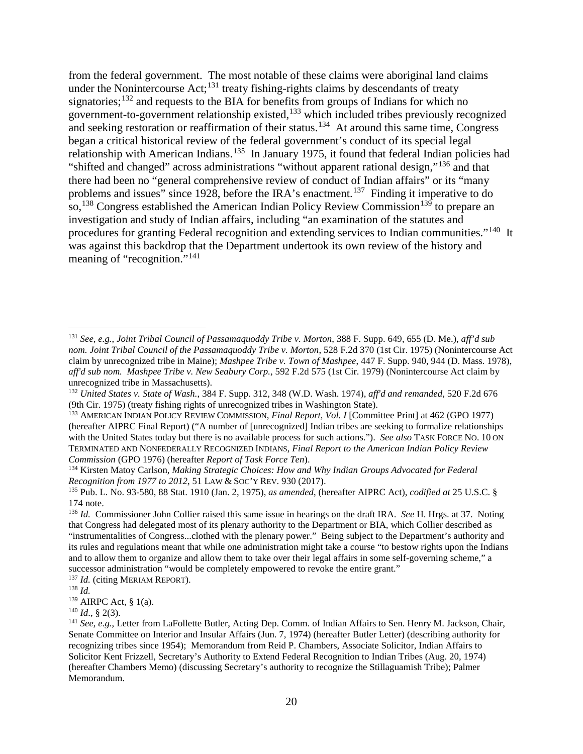from the federal government. The most notable of these claims were aboriginal land claims under the Nonintercourse Act;<sup>[131](#page-19-0)</sup> treaty fishing-rights claims by descendants of treaty signatories;<sup>[132](#page-19-1)</sup> and requests to the BIA for benefits from groups of Indians for which no government-to-government relationship existed,[133](#page-19-2) which included tribes previously recognized and seeking restoration or reaffirmation of their status.<sup>134</sup> At around this same time, Congress began a critical historical review of the federal government's conduct of its special legal relationship with American Indians.<sup>[135](#page-19-4)</sup> In January 1975, it found that federal Indian policies had "shifted and changed" across administrations "without apparent rational design,"[136](#page-19-5) and that there had been no "general comprehensive review of conduct of Indian affairs" or its "many problems and issues" since 1928, before the IRA's enactment.<sup>[137](#page-19-6)</sup> Finding it imperative to do so,<sup>[138](#page-19-7)</sup> Congress established the American Indian Policy Review Commission<sup>[139](#page-19-8)</sup> to prepare an investigation and study of Indian affairs, including "an examination of the statutes and procedures for granting Federal recognition and extending services to Indian communities."[140](#page-19-9) It was against this backdrop that the Department undertook its own review of the history and meaning of "recognition."<sup>[141](#page-19-10)</sup>

<span id="page-19-6"></span><sup>137</sup> *Id.* (citing MERIAM REPORT).

<span id="page-19-9"></span> $140$  *Id.*, § 2(3).

<span id="page-19-0"></span><sup>131</sup> *See*, *e.g.*, *Joint Tribal Council of Passamaquoddy Tribe v. Morton*, 388 F. Supp. 649, 655 (D. Me.), *aff'd sub nom. Joint Tribal Council of the Passamaquoddy Tribe v. Morton*, 528 F.2d 370 (1st Cir. 1975) (Nonintercourse Act claim by unrecognized tribe in Maine); *Mashpee Tribe v. Town of Mashpee*, 447 F. Supp. 940, 944 (D. Mass. 1978), *aff'd sub nom. Mashpee Tribe v. New Seabury Corp.*, 592 F.2d 575 (1st Cir. 1979) (Nonintercourse Act claim by unrecognized tribe in Massachusetts).

<span id="page-19-1"></span><sup>132</sup> *United States v. State of Wash.*, 384 F. Supp. 312, 348 (W.D. Wash. 1974), *aff'd and remanded*, 520 F.2d 676 (9th Cir. 1975) (treaty fishing rights of unrecognized tribes in Washington State).

<span id="page-19-2"></span><sup>133</sup> AMERICAN INDIAN POLICY REVIEW COMMISSION, *Final Report, Vol. I* [Committee Print] at 462 (GPO 1977) (hereafter AIPRC Final Report) ("A number of [unrecognized] Indian tribes are seeking to formalize relationships with the United States today but there is no available process for such actions."). *See also* TASK FORCE NO. 10 ON TERMINATED AND NONFEDERALLY RECOGNIZED INDIANS, *Final Report to the American Indian Policy Review Commission* (GPO 1976) (hereafter *Report of Task Force Ten*).

<span id="page-19-3"></span><sup>134</sup> Kirsten Matoy Carlson, *Making Strategic Choices: How and Why Indian Groups Advocated for Federal Recognition from 1977 to 2012*, 51 LAW & SOC'Y REV. 930 (2017).

<span id="page-19-4"></span><sup>135</sup> Pub. L. No. 93-580, 88 Stat. 1910 (Jan. 2, 1975), *as amended*, (hereafter AIPRC Act), *codified at* 25 U.S.C. § 174 note.

<span id="page-19-5"></span><sup>136</sup> *Id.* Commissioner John Collier raised this same issue in hearings on the draft IRA. *See* H. Hrgs. at 37. Noting that Congress had delegated most of its plenary authority to the Department or BIA, which Collier described as "instrumentalities of Congress...clothed with the plenary power." Being subject to the Department's authority and its rules and regulations meant that while one administration might take a course "to bestow rights upon the Indians and to allow them to organize and allow them to take over their legal affairs in some self-governing scheme," a successor administration "would be completely empowered to revoke the entire grant."

<span id="page-19-7"></span><sup>138</sup> *Id.*

<span id="page-19-8"></span><sup>139</sup> AIRPC Act, § 1(a).

<span id="page-19-10"></span><sup>&</sup>lt;sup>141</sup> *See*, *e.g.*, Letter from LaFollette Butler, Acting Dep. Comm. of Indian Affairs to Sen. Henry M. Jackson, Chair, Senate Committee on Interior and Insular Affairs (Jun. 7, 1974) (hereafter Butler Letter) (describing authority for recognizing tribes since 1954); Memorandum from Reid P. Chambers, Associate Solicitor, Indian Affairs to Solicitor Kent Frizzell, Secretary's Authority to Extend Federal Recognition to Indian Tribes (Aug. 20, 1974) (hereafter Chambers Memo) (discussing Secretary's authority to recognize the Stillaguamish Tribe); Palmer Memorandum.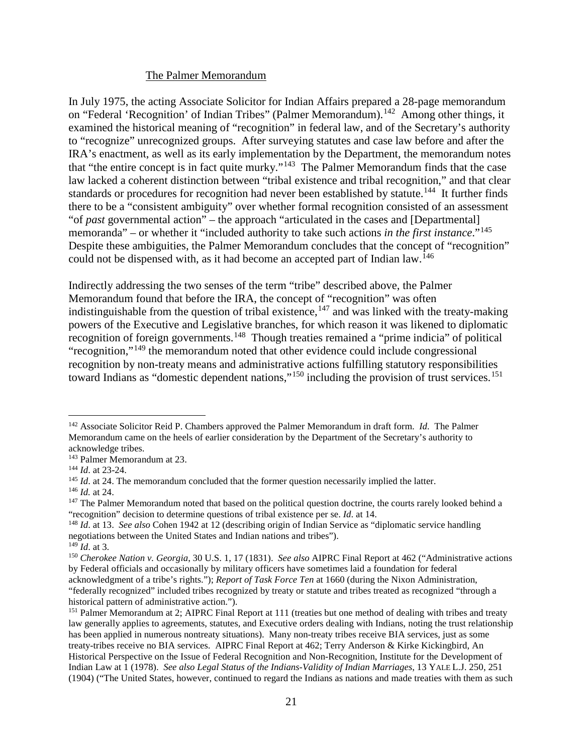#### The Palmer Memorandum

In July 1975, the acting Associate Solicitor for Indian Affairs prepared a 28-page memorandum on "Federal 'Recognition' of Indian Tribes" (Palmer Memorandum).<sup>[142](#page-20-0)</sup> Among other things, it examined the historical meaning of "recognition" in federal law, and of the Secretary's authority to "recognize" unrecognized groups. After surveying statutes and case law before and after the IRA's enactment, as well as its early implementation by the Department, the memorandum notes that "the entire concept is in fact quite murky."[143](#page-20-1) The Palmer Memorandum finds that the case law lacked a coherent distinction between "tribal existence and tribal recognition," and that clear standards or procedures for recognition had never been established by statute.<sup>144</sup> It further finds there to be a "consistent ambiguity" over whether formal recognition consisted of an assessment "of *past* governmental action" – the approach "articulated in the cases and [Departmental] memoranda" – or whether it "included authority to take such actions *in the first instance*."[145](#page-20-3)  Despite these ambiguities, the Palmer Memorandum concludes that the concept of "recognition" could not be dispensed with, as it had become an accepted part of Indian law.<sup>[146](#page-20-4)</sup>

Indirectly addressing the two senses of the term "tribe" described above, the Palmer Memorandum found that before the IRA, the concept of "recognition" was often indistinguishable from the question of tribal existence,  $147$  and was linked with the treaty-making powers of the Executive and Legislative branches, for which reason it was likened to diplomatic recognition of foreign governments.[148](#page-20-6) Though treaties remained a "prime indicia" of political "recognition,"[149](#page-20-7) the memorandum noted that other evidence could include congressional recognition by non-treaty means and administrative actions fulfilling statutory responsibilities toward Indians as "domestic dependent nations,"<sup>[150](#page-20-8)</sup> including the provision of trust services.<sup>[151](#page-20-9)</sup>

<span id="page-20-7"></span><sup>149</sup> *Id*. at 3.

<span id="page-20-0"></span><sup>142</sup> Associate Solicitor Reid P. Chambers approved the Palmer Memorandum in draft form. *Id.* The Palmer Memorandum came on the heels of earlier consideration by the Department of the Secretary's authority to acknowledge tribes.

<span id="page-20-1"></span><sup>143</sup> Palmer Memorandum at 23.

<span id="page-20-2"></span><sup>144</sup> *Id*. at 23-24.

<span id="page-20-3"></span><sup>&</sup>lt;sup>145</sup> *Id.* at 24. The memorandum concluded that the former question necessarily implied the latter.

<span id="page-20-4"></span><sup>146</sup> *Id.* at 24.

<span id="page-20-5"></span><sup>&</sup>lt;sup>147</sup> The Palmer Memorandum noted that based on the political question doctrine, the courts rarely looked behind a "recognition" decision to determine questions of tribal existence per se. *Id*. at 14.

<span id="page-20-6"></span><sup>148</sup> *Id*. at 13. *See also* Cohen 1942 at 12 (describing origin of Indian Service as "diplomatic service handling negotiations between the United States and Indian nations and tribes").

<span id="page-20-8"></span><sup>150</sup> *Cherokee Nation v. Georgia*, 30 U.S. 1, 17 (1831). *See also* AIPRC Final Report at 462 ("Administrative actions by Federal officials and occasionally by military officers have sometimes laid a foundation for federal acknowledgment of a tribe's rights."); *Report of Task Force Ten* at 1660 (during the Nixon Administration, "federally recognized" included tribes recognized by treaty or statute and tribes treated as recognized "through a historical pattern of administrative action.").

<span id="page-20-9"></span><sup>&</sup>lt;sup>151</sup> Palmer Memorandum at 2; AIPRC Final Report at 111 (treaties but one method of dealing with tribes and treaty law generally applies to agreements, statutes, and Executive orders dealing with Indians, noting the trust relationship has been applied in numerous nontreaty situations). Many non-treaty tribes receive BIA services, just as some treaty-tribes receive no BIA services. AIPRC Final Report at 462; Terry Anderson & Kirke Kickingbird, An Historical Perspective on the Issue of Federal Recognition and Non-Recognition, Institute for the Development of Indian Law at 1 (1978). *See also Legal Status of the Indians-Validity of Indian Marriages*, 13 YALE L.J. 250, 251 (1904) ("The United States, however, continued to regard the Indians as nations and made treaties with them as such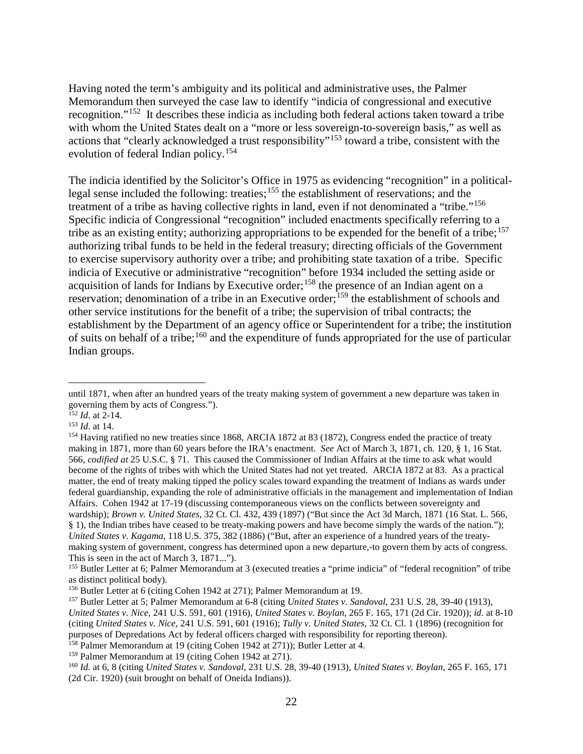Having noted the term's ambiguity and its political and administrative uses, the Palmer Memorandum then surveyed the case law to identify "indicia of congressional and executive recognition."[152](#page-21-0) It describes these indicia as including both federal actions taken toward a tribe with whom the United States dealt on a "more or less sovereign-to-sovereign basis," as well as actions that "clearly acknowledged a trust responsibility"<sup>[153](#page-21-1)</sup> toward a tribe, consistent with the evolution of federal Indian policy.[154](#page-21-2)

The indicia identified by the Solicitor's Office in 1975 as evidencing "recognition" in a politicallegal sense included the following: treaties;[155](#page-21-3) the establishment of reservations; and the treatment of a tribe as having collective rights in land, even if not denominated a "tribe."<sup>[156](#page-21-4)</sup> Specific indicia of Congressional "recognition" included enactments specifically referring to a tribe as an existing entity; authorizing appropriations to be expended for the benefit of a tribe;  $157$ authorizing tribal funds to be held in the federal treasury; directing officials of the Government to exercise supervisory authority over a tribe; and prohibiting state taxation of a tribe. Specific indicia of Executive or administrative "recognition" before 1934 included the setting aside or acquisition of lands for Indians by Executive order;<sup>158</sup> the presence of an Indian agent on a reservation; denomination of a tribe in an Executive order;<sup>[159](#page-21-7)</sup> the establishment of schools and other service institutions for the benefit of a tribe; the supervision of tribal contracts; the establishment by the Department of an agency office or Superintendent for a tribe; the institution of suits on behalf of a tribe;<sup>[160](#page-21-8)</sup> and the expenditure of funds appropriated for the use of particular Indian groups.

until 1871, when after an hundred years of the treaty making system of government a new departure was taken in governing them by acts of Congress.").

<span id="page-21-0"></span><sup>152</sup> *Id*. at 2-14.

<span id="page-21-1"></span><sup>153</sup> *Id*. at 14.

<span id="page-21-2"></span><sup>&</sup>lt;sup>154</sup> Having ratified no new treaties since 1868, ARCIA 1872 at 83 (1872), Congress ended the practice of treaty making in 1871, more than 60 years before the IRA's enactment. *See* Act of March 3, 1871, ch. 120, § 1, 16 Stat. 566, *codified at* 25 U.S.C. § 71. This caused the Commissioner of Indian Affairs at the time to ask what would become of the rights of tribes with which the United States had not yet treated. ARCIA 1872 at 83. As a practical matter, the end of treaty making tipped the policy scales toward expanding the treatment of Indians as wards under federal guardianship, expanding the role of administrative officials in the management and implementation of Indian Affairs. Cohen 1942 at 17-19 (discussing contemporaneous views on the conflicts between sovereignty and wardship); *Brown v. United States*, 32 Ct. Cl. 432, 439 (1897) ("But since the Act 3d March, 1871 (16 Stat. L. 566, § 1), the Indian tribes have ceased to be treaty-making powers and have become simply the wards of the nation."); *United States v. Kagama*, 118 U.S. 375, 382 (1886) ("But, after an experience of a hundred years of the treatymaking system of government, congress has determined upon a new departure,-to govern them by acts of congress. This is seen in the act of March 3, 1871...").

<span id="page-21-3"></span><sup>155</sup> Butler Letter at 6; Palmer Memorandum at 3 (executed treaties a "prime indicia" of "federal recognition" of tribe as distinct political body).

<span id="page-21-4"></span><sup>156</sup> Butler Letter at 6 (citing Cohen 1942 at 271); Palmer Memorandum at 19.

<span id="page-21-5"></span><sup>157</sup> Butler Letter at 5; Palmer Memorandum at 6-8 (citing *United States v. Sandoval*, 231 U.S. 28, 39-40 (1913), *United States v. Nice*, 241 U.S. 591, 601 (1916), *United States v. Boylan*, 265 F. 165, 171 (2d Cir. 1920)); *id*. at 8-10 (citing *United States v. Nice*, 241 U.S. 591, 601 (1916); *Tully v. United States*, 32 Ct. Cl. 1 (1896) (recognition for purposes of Depredations Act by federal officers charged with responsibility for reporting thereon).

<span id="page-21-6"></span><sup>&</sup>lt;sup>158</sup> Palmer Memorandum at 19 (citing Cohen 1942 at 271)); Butler Letter at 4.

<span id="page-21-7"></span><sup>159</sup> Palmer Memorandum at 19 (citing Cohen 1942 at 271).

<span id="page-21-8"></span><sup>160</sup> *Id*. at 6, 8 (citing *United States v. Sandoval*, 231 U.S. 28, 39-40 (1913), *United States v. Boylan*, 265 F. 165, 171 (2d Cir. 1920) (suit brought on behalf of Oneida Indians)).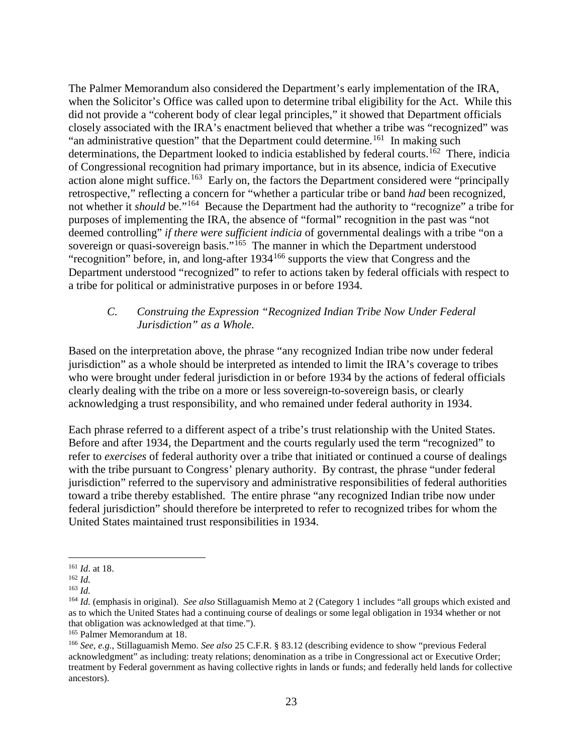The Palmer Memorandum also considered the Department's early implementation of the IRA, when the Solicitor's Office was called upon to determine tribal eligibility for the Act. While this did not provide a "coherent body of clear legal principles," it showed that Department officials closely associated with the IRA's enactment believed that whether a tribe was "recognized" was "an administrative question" that the Department could determine.<sup>[161](#page-22-0)</sup> In making such determinations, the Department looked to indicia established by federal courts.<sup>162</sup> There, indicia of Congressional recognition had primary importance, but in its absence, indicia of Executive action alone might suffice.<sup>163</sup> Early on, the factors the Department considered were "principally retrospective," reflecting a concern for "whether a particular tribe or band *had* been recognized, not whether it *should* be."<sup>[164](#page-22-3)</sup> Because the Department had the authority to "recognize" a tribe for purposes of implementing the IRA, the absence of "formal" recognition in the past was "not deemed controlling" *if there were sufficient indicia* of governmental dealings with a tribe "on a sovereign or quasi-sovereign basis."<sup>165</sup> The manner in which the Department understood "recognition" before, in, and long-after 1934[166](#page-22-5) supports the view that Congress and the Department understood "recognized" to refer to actions taken by federal officials with respect to a tribe for political or administrative purposes in or before 1934.

### *C. Construing the Expression "Recognized Indian Tribe Now Under Federal Jurisdiction" as a Whole.*

Based on the interpretation above, the phrase "any recognized Indian tribe now under federal jurisdiction" as a whole should be interpreted as intended to limit the IRA's coverage to tribes who were brought under federal jurisdiction in or before 1934 by the actions of federal officials clearly dealing with the tribe on a more or less sovereign-to-sovereign basis, or clearly acknowledging a trust responsibility, and who remained under federal authority in 1934.

Each phrase referred to a different aspect of a tribe's trust relationship with the United States. Before and after 1934, the Department and the courts regularly used the term "recognized" to refer to *exercises* of federal authority over a tribe that initiated or continued a course of dealings with the tribe pursuant to Congress' plenary authority. By contrast, the phrase "under federal jurisdiction" referred to the supervisory and administrative responsibilities of federal authorities toward a tribe thereby established. The entire phrase "any recognized Indian tribe now under federal jurisdiction" should therefore be interpreted to refer to recognized tribes for whom the United States maintained trust responsibilities in 1934.

<span id="page-22-0"></span><sup>161</sup> *Id*. at 18.

<sup>162</sup> *Id.*

<span id="page-22-2"></span><span id="page-22-1"></span><sup>163</sup> *Id.*

<span id="page-22-3"></span><sup>164</sup> *Id.* (emphasis in original). *See also* Stillaguamish Memo at 2 (Category 1 includes "all groups which existed and as to which the United States had a continuing course of dealings or some legal obligation in 1934 whether or not that obligation was acknowledged at that time.").

<span id="page-22-4"></span><sup>165</sup> Palmer Memorandum at 18.

<span id="page-22-5"></span><sup>166</sup> *See, e.g.*, Stillaguamish Memo. *See also* 25 C.F.R. § 83.12 (describing evidence to show "previous Federal acknowledgment" as including: treaty relations; denomination as a tribe in Congressional act or Executive Order; treatment by Federal government as having collective rights in lands or funds; and federally held lands for collective ancestors).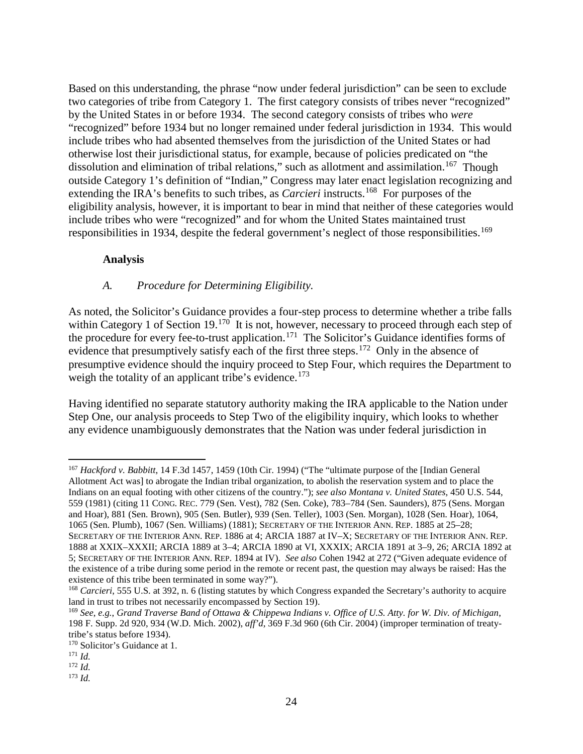Based on this understanding, the phrase "now under federal jurisdiction" can be seen to exclude two categories of tribe from Category 1. The first category consists of tribes never "recognized" by the United States in or before 1934. The second category consists of tribes who *were* "recognized" before 1934 but no longer remained under federal jurisdiction in 1934. This would include tribes who had absented themselves from the jurisdiction of the United States or had otherwise lost their jurisdictional status, for example, because of policies predicated on "the dissolution and elimination of tribal relations," such as allotment and assimilation.<sup>[167](#page-23-0)</sup> Though outside Category 1's definition of "Indian," Congress may later enact legislation recognizing and extending the IRA's benefits to such tribes, as *Carcieri* instructs.<sup>[168](#page-23-1)</sup> For purposes of the eligibility analysis, however, it is important to bear in mind that neither of these categories would include tribes who were "recognized" and for whom the United States maintained trust responsibilities in 1934, despite the federal government's neglect of those responsibilities.<sup>[169](#page-23-2)</sup>

### **Analysis**

## *A. Procedure for Determining Eligibility.*

As noted, the Solicitor's Guidance provides a four-step process to determine whether a tribe falls within Category 1 of Section 19.<sup>[170](#page-23-3)</sup> It is not, however, necessary to proceed through each step of the procedure for every fee-to-trust application.<sup>171</sup> The Solicitor's Guidance identifies forms of evidence that presumptively satisfy each of the first three steps.<sup>[172](#page-23-5)</sup> Only in the absence of presumptive evidence should the inquiry proceed to Step Four, which requires the Department to weigh the totality of an applicant tribe's evidence.<sup>[173](#page-23-6)</sup>

Having identified no separate statutory authority making the IRA applicable to the Nation under Step One, our analysis proceeds to Step Two of the eligibility inquiry, which looks to whether any evidence unambiguously demonstrates that the Nation was under federal jurisdiction in

<span id="page-23-0"></span><sup>167</sup> *Hackford v. Babbitt*, 14 F.3d 1457, 1459 (10th Cir. 1994) ("The "ultimate purpose of the [Indian General Allotment Act was] to abrogate the Indian tribal organization, to abolish the reservation system and to place the Indians on an equal footing with other citizens of the country."); *see also Montana v. United States*, 450 U.S. 544, 559 (1981) (citing 11 CONG. REC. 779 (Sen. Vest), 782 (Sen. Coke), 783–784 (Sen. Saunders), 875 (Sens. Morgan and Hoar), 881 (Sen. Brown), 905 (Sen. Butler), 939 (Sen. Teller), 1003 (Sen. Morgan), 1028 (Sen. Hoar), 1064, 1065 (Sen. Plumb), 1067 (Sen. Williams) (1881); SECRETARY OF THE INTERIOR ANN. REP. 1885 at 25–28; SECRETARY OF THE INTERIOR ANN. REP. 1886 at 4; ARCIA 1887 at IV–X; SECRETARY OF THE INTERIOR ANN. REP. 1888 at XXIX–XXXII; ARCIA 1889 at 3–4; ARCIA 1890 at VI, XXXIX; ARCIA 1891 at 3–9, 26; ARCIA 1892 at 5; SECRETARY OF THE INTERIOR ANN. REP. 1894 at IV). *See also* Cohen 1942 at 272 ("Given adequate evidence of the existence of a tribe during some period in the remote or recent past, the question may always be raised: Has the existence of this tribe been terminated in some way?").

<span id="page-23-1"></span><sup>168</sup> *Carcieri*, 555 U.S. at 392, n. 6 (listing statutes by which Congress expanded the Secretary's authority to acquire land in trust to tribes not necessarily encompassed by Section 19).

<span id="page-23-2"></span><sup>169</sup> *See*, *e.g.*, *Grand Traverse Band of Ottawa & Chippewa Indians v. Office of U.S. Atty. for W. Div. of Michigan*, 198 F. Supp. 2d 920, 934 (W.D. Mich. 2002), *aff'd*, 369 F.3d 960 (6th Cir. 2004) (improper termination of treatytribe's status before 1934).

<span id="page-23-3"></span><sup>170</sup> Solicitor's Guidance at 1.

<span id="page-23-4"></span><sup>171</sup> *Id.*

<span id="page-23-5"></span><sup>172</sup> *Id.*

<span id="page-23-6"></span><sup>173</sup> *Id.*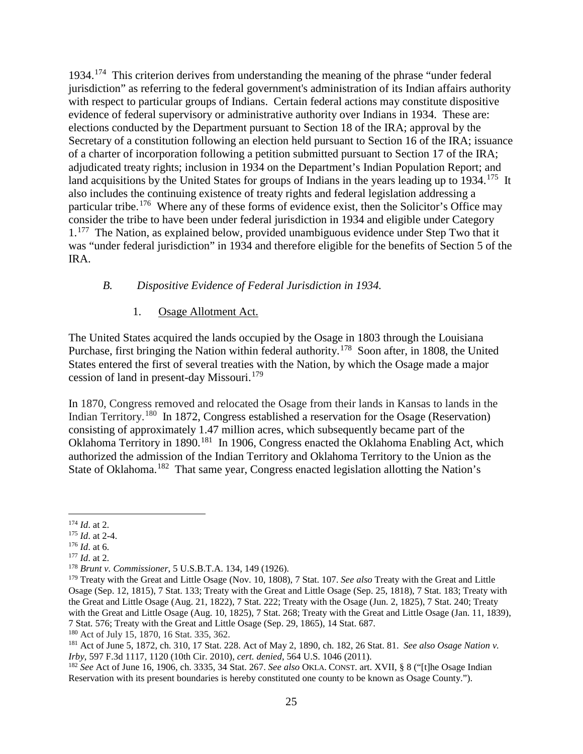1934.[174](#page-24-0) This criterion derives from understanding the meaning of the phrase "under federal jurisdiction" as referring to the federal government's administration of its Indian affairs authority with respect to particular groups of Indians. Certain federal actions may constitute dispositive evidence of federal supervisory or administrative authority over Indians in 1934. These are: elections conducted by the Department pursuant to Section 18 of the IRA; approval by the Secretary of a constitution following an election held pursuant to Section 16 of the IRA; issuance of a charter of incorporation following a petition submitted pursuant to Section 17 of the IRA; adjudicated treaty rights; inclusion in 1934 on the Department's Indian Population Report; and land acquisitions by the United States for groups of Indians in the years leading up to  $1934$ .<sup>175</sup> It also includes the continuing existence of treaty rights and federal legislation addressing a particular tribe.<sup>176</sup> Where any of these forms of evidence exist, then the Solicitor's Office may consider the tribe to have been under federal jurisdiction in 1934 and eligible under Category  $1<sup>177</sup>$  The Nation, as explained below, provided unambiguous evidence under Step Two that it was "under federal jurisdiction" in 1934 and therefore eligible for the benefits of Section 5 of the IRA.

### *B. Dispositive Evidence of Federal Jurisdiction in 1934.*

### 1. Osage Allotment Act.

The United States acquired the lands occupied by the Osage in 1803 through the Louisiana Purchase, first bringing the Nation within federal authority.[178](#page-24-4) Soon after, in 1808, the United States entered the first of several treaties with the Nation, by which the Osage made a major cession of land in present-day Missouri.<sup>179</sup>

In 1870, Congress removed and relocated the Osage from their lands in Kansas to lands in the Indian Territory.[180](#page-24-6) In 1872, Congress established a reservation for the Osage (Reservation) consisting of approximately 1.47 million acres, which subsequently became part of the Oklahoma Territory in 1890.<sup>[181](#page-24-7)</sup> In 1906, Congress enacted the Oklahoma Enabling Act, which authorized the admission of the Indian Territory and Oklahoma Territory to the Union as the State of Oklahoma.<sup>182</sup> That same year, Congress enacted legislation allotting the Nation's

<span id="page-24-6"></span><sup>180</sup> Act of July 15, 1870, 16 Stat. 335, 362.

<span id="page-24-1"></span><span id="page-24-0"></span><sup>&</sup>lt;sup>174</sup> *Id.* at 2.<br><sup>175</sup> *Id.* at 2-4.<br><sup>176</sup> *Id.* at 6.

<span id="page-24-3"></span><span id="page-24-2"></span> $177$  *Id.* at 2.

<span id="page-24-4"></span><sup>178</sup> *Brunt v. Commissioner*, 5 U.S.B.T.A. 134, 149 (1926).

<span id="page-24-5"></span><sup>179</sup> Treaty with the Great and Little Osage (Nov. 10, 1808), 7 Stat. 107. *See also* Treaty with the Great and Little Osage (Sep. 12, 1815), 7 Stat. 133; Treaty with the Great and Little Osage (Sep. 25, 1818), 7 Stat. 183; Treaty with the Great and Little Osage (Aug. 21, 1822), 7 Stat. 222; Treaty with the Osage (Jun. 2, 1825), 7 Stat. 240; Treaty with the Great and Little Osage (Aug. 10, 1825), 7 Stat. 268; Treaty with the Great and Little Osage (Jan. 11, 1839), 7 Stat. 576; Treaty with the Great and Little Osage (Sep. 29, 1865), 14 Stat. 687.

<span id="page-24-7"></span><sup>181</sup> Act of June 5, 1872, ch. 310, 17 Stat. 228. Act of May 2, 1890, ch. 182, 26 Stat. 81. *See also Osage Nation v. Irby*, 597 F.3d 1117, 1120 (10th Cir. 2010), *cert. denied*, 564 U.S. 1046 (2011).

<span id="page-24-8"></span><sup>182</sup> *See* Act of June 16, 1906, ch. 3335, 34 Stat. 267. *See also* OKLA. CONST. art. XVII, § 8 ("[t]he Osage Indian Reservation with its present boundaries is hereby constituted one county to be known as Osage County.").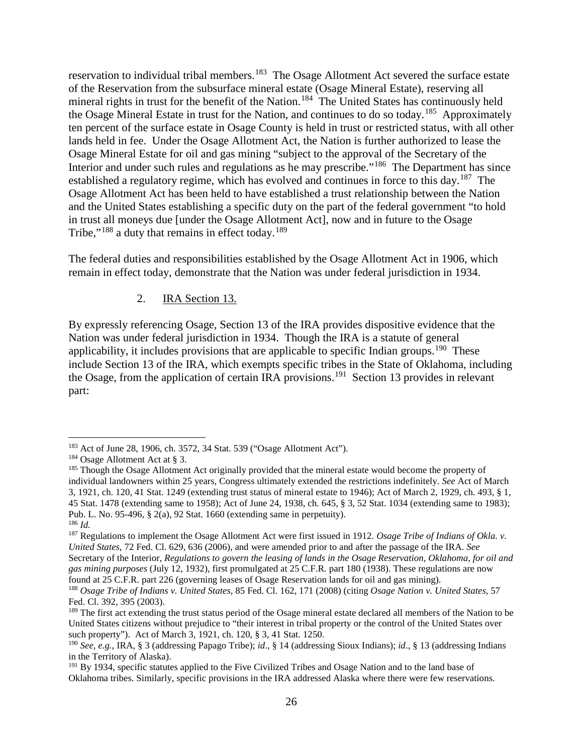reservation to individual tribal members.<sup>[183](#page-25-0)</sup> The Osage Allotment Act severed the surface estate of the Reservation from the subsurface mineral estate (Osage Mineral Estate), reserving all mineral rights in trust for the benefit of the Nation.<sup>184</sup> The United States has continuously held the Osage Mineral Estate in trust for the Nation, and continues to do so today.<sup>185</sup> Approximately ten percent of the surface estate in Osage County is held in trust or restricted status, with all other lands held in fee. Under the Osage Allotment Act, the Nation is further authorized to lease the Osage Mineral Estate for oil and gas mining "subject to the approval of the Secretary of the Interior and under such rules and regulations as he may prescribe."<sup>186</sup> The Department has since established a regulatory regime, which has evolved and continues in force to this day.<sup>187</sup> The Osage Allotment Act has been held to have established a trust relationship between the Nation and the United States establishing a specific duty on the part of the federal government "to hold in trust all moneys due [under the Osage Allotment Act], now and in future to the Osage Tribe," $188$  a duty that remains in effect today.<sup>[189](#page-25-6)</sup>

The federal duties and responsibilities established by the Osage Allotment Act in 1906, which remain in effect today, demonstrate that the Nation was under federal jurisdiction in 1934.

## 2. IRA Section 13.

By expressly referencing Osage, Section 13 of the IRA provides dispositive evidence that the Nation was under federal jurisdiction in 1934. Though the IRA is a statute of general applicability, it includes provisions that are applicable to specific Indian groups.<sup>[190](#page-25-7)</sup> These include Section 13 of the IRA, which exempts specific tribes in the State of Oklahoma, including the Osage, from the application of certain IRA provisions.<sup>[191](#page-25-8)</sup> Section 13 provides in relevant part:

<span id="page-25-0"></span><sup>183</sup> Act of June 28, 1906, ch. 3572, 34 Stat. 539 ("Osage Allotment Act").

<span id="page-25-1"></span><sup>184</sup> Osage Allotment Act at § 3.

<span id="page-25-2"></span><sup>&</sup>lt;sup>185</sup> Though the Osage Allotment Act originally provided that the mineral estate would become the property of individual landowners within 25 years, Congress ultimately extended the restrictions indefinitely. *See* Act of March 3, 1921, ch. 120, 41 Stat. 1249 (extending trust status of mineral estate to 1946); Act of March 2, 1929, ch. 493, § 1, 45 Stat. 1478 (extending same to 1958); Act of June 24, 1938, ch. 645, § 3, 52 Stat. 1034 (extending same to 1983); Pub. L. No. 95-496, § 2(a), 92 Stat. 1660 (extending same in perpetuity). <sup>186</sup> *Id.*

<span id="page-25-4"></span><span id="page-25-3"></span><sup>187</sup> Regulations to implement the Osage Allotment Act were first issued in 1912. *Osage Tribe of Indians of Okla. v. United States*, 72 Fed. Cl. 629, 636 (2006), and were amended prior to and after the passage of the IRA. *See*  Secretary of the Interior, *Regulations to govern the leasing of lands in the Osage Reservation, Oklahoma, for oil and gas mining purposes* (July 12, 1932), first promulgated at 25 C.F.R. part 180 (1938). These regulations are now found at 25 C.F.R. part 226 (governing leases of Osage Reservation lands for oil and gas mining).

<span id="page-25-5"></span><sup>188</sup> *Osage Tribe of Indians v. United States*, 85 Fed. Cl. 162, 171 (2008) (citing *Osage Nation v. United States*, 57 Fed. Cl. 392, 395 (2003).

<span id="page-25-6"></span><sup>&</sup>lt;sup>189</sup> The first act extending the trust status period of the Osage mineral estate declared all members of the Nation to be United States citizens without prejudice to "their interest in tribal property or the control of the United States over such property"). Act of March 3, 1921, ch. 120, § 3, 41 Stat. 1250.

<span id="page-25-7"></span><sup>190</sup> *See, e.g.*, IRA, § 3 (addressing Papago Tribe); *id*., § 14 (addressing Sioux Indians); *id*., § 13 (addressing Indians in the Territory of Alaska).

<span id="page-25-8"></span><sup>&</sup>lt;sup>191</sup> By 1934, specific statutes applied to the Five Civilized Tribes and Osage Nation and to the land base of Oklahoma tribes. Similarly, specific provisions in the IRA addressed Alaska where there were few reservations.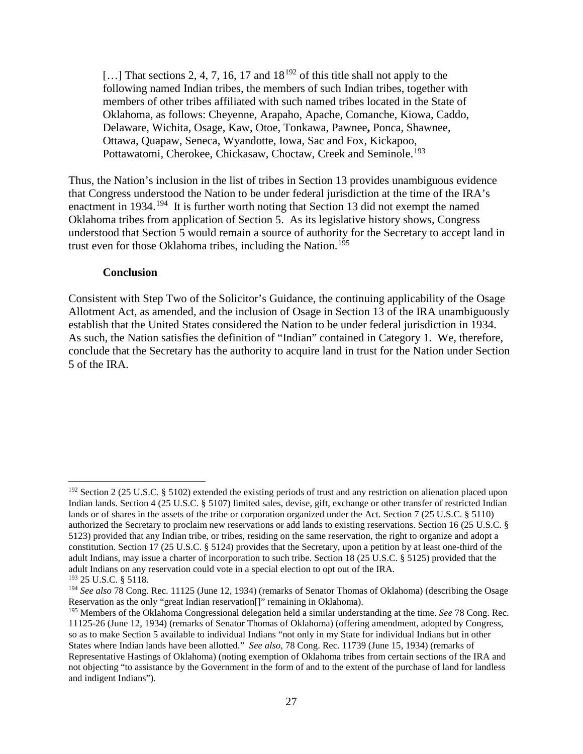[...] That sections 2, 4, 7, 16, 17 and  $18^{192}$  $18^{192}$  $18^{192}$  of this title shall not apply to the following named Indian tribes, the members of such Indian tribes, together with members of other tribes affiliated with such named tribes located in the State of Oklahoma, as follows: Cheyenne, Arapaho, Apache, Comanche, Kiowa, Caddo, Delaware, Wichita, Osage, Kaw, Otoe, Tonkawa, Pawnee**,** Ponca, Shawnee, Ottawa, Quapaw, Seneca, Wyandotte, Iowa, Sac and Fox, Kickapoo, Pottawatomi, Cherokee, Chickasaw, Choctaw, Creek and Seminole.<sup>[193](#page-26-1)</sup>

Thus, the Nation's inclusion in the list of tribes in Section 13 provides unambiguous evidence that Congress understood the Nation to be under federal jurisdiction at the time of the IRA's enactment in 1934.<sup>[194](#page-26-2)</sup> It is further worth noting that Section 13 did not exempt the named Oklahoma tribes from application of Section 5. As its legislative history shows, Congress understood that Section 5 would remain a source of authority for the Secretary to accept land in trust even for those Oklahoma tribes, including the Nation.<sup>[195](#page-26-3)</sup>

#### **Conclusion**

Consistent with Step Two of the Solicitor's Guidance, the continuing applicability of the Osage Allotment Act, as amended, and the inclusion of Osage in Section 13 of the IRA unambiguously establish that the United States considered the Nation to be under federal jurisdiction in 1934. As such, the Nation satisfies the definition of "Indian" contained in Category 1. We, therefore, conclude that the Secretary has the authority to acquire land in trust for the Nation under Section 5 of the IRA.

<span id="page-26-0"></span><sup>&</sup>lt;sup>192</sup> Section 2 (25 U.S.C. § 5102) extended the existing periods of trust and any restriction on alienation placed upon Indian lands. Section 4 (25 U.S.C. § 5107) limited sales, devise, gift, exchange or other transfer of restricted Indian lands or of shares in the assets of the tribe or corporation organized under the Act. Section 7 (25 U.S.C. § 5110) authorized the Secretary to proclaim new reservations or add lands to existing reservations. Section 16 (25 U.S.C. § 5123) provided that any Indian tribe, or tribes, residing on the same reservation, the right to organize and adopt a constitution. Section 17 (25 U.S.C. § 5124) provides that the Secretary, upon a petition by at least one-third of the adult Indians, may issue a charter of incorporation to such tribe. Section 18 (25 U.S.C. § 5125) provided that the adult Indians on any reservation could vote in a special election to opt out of the IRA. <sup>193</sup> 25 U.S.C. § 5118.

<span id="page-26-2"></span><span id="page-26-1"></span><sup>&</sup>lt;sup>194</sup> See also 78 Cong. Rec. 11125 (June 12, 1934) (remarks of Senator Thomas of Oklahoma) (describing the Osage Reservation as the only "great Indian reservation[]" remaining in Oklahoma).

<span id="page-26-3"></span><sup>195</sup> Members of the Oklahoma Congressional delegation held a similar understanding at the time. *See* 78 Cong. Rec. 11125-26 (June 12, 1934) (remarks of Senator Thomas of Oklahoma) (offering amendment, adopted by Congress, so as to make Section 5 available to individual Indians "not only in my State for individual Indians but in other States where Indian lands have been allotted." *See also,* 78 Cong. Rec. 11739 (June 15, 1934) (remarks of Representative Hastings of Oklahoma) (noting exemption of Oklahoma tribes from certain sections of the IRA and not objecting "to assistance by the Government in the form of and to the extent of the purchase of land for landless and indigent Indians").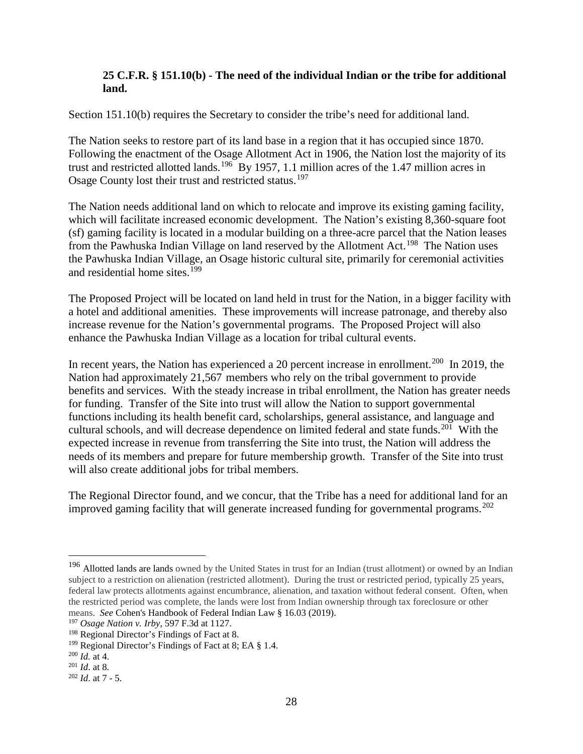### **25 C.F.R. § 151.10(b) - The need of the individual Indian or the tribe for additional land.**

Section 151.10(b) requires the Secretary to consider the tribe's need for additional land.

The Nation seeks to restore part of its land base in a region that it has occupied since 1870. Following the enactment of the Osage Allotment Act in 1906, the Nation lost the majority of its trust and restricted allotted lands.[196](#page-27-0) By 1957, 1.1 million acres of the 1.47 million acres in Osage County lost their trust and restricted status.<sup>[197](#page-27-1)</sup>

The Nation needs additional land on which to relocate and improve its existing gaming facility, which will facilitate increased economic development. The Nation's existing 8,360-square foot (sf) gaming facility is located in a modular building on a three-acre parcel that the Nation leases from the Pawhuska Indian Village on land reserved by the Allotment Act.<sup>[198](#page-27-2)</sup> The Nation uses the Pawhuska Indian Village, an Osage historic cultural site, primarily for ceremonial activities and residential home sites.<sup>[199](#page-27-3)</sup>

The Proposed Project will be located on land held in trust for the Nation, in a bigger facility with a hotel and additional amenities. These improvements will increase patronage, and thereby also increase revenue for the Nation's governmental programs. The Proposed Project will also enhance the Pawhuska Indian Village as a location for tribal cultural events.

In recent years, the Nation has experienced a 20 percent increase in enrollment.<sup>200</sup> In 2019, the Nation had approximately 21,567 members who rely on the tribal government to provide benefits and services. With the steady increase in tribal enrollment, the Nation has greater needs for funding. Transfer of the Site into trust will allow the Nation to support governmental functions including its health benefit card, scholarships, general assistance, and language and cultural schools, and will decrease dependence on limited federal and state funds.<sup>201</sup> With the expected increase in revenue from transferring the Site into trust, the Nation will address the needs of its members and prepare for future membership growth. Transfer of the Site into trust will also create additional jobs for tribal members.

The Regional Director found, and we concur, that the Tribe has a need for additional land for an improved gaming facility that will generate increased funding for governmental programs.<sup>[202](#page-27-6)</sup>

<span id="page-27-0"></span><sup>&</sup>lt;sup>196</sup> Allotted lands are lands owned by the United States in trust for an Indian (trust allotment) or owned by an Indian subject to a restriction on alienation (restricted allotment). During the trust or restricted period, typically 25 years, federal law protects allotments against encumbrance, alienation, and taxation without federal consent. Often, when the restricted period was complete, the lands were lost from Indian ownership through tax foreclosure or other means. *See* Cohen's Handbook of Federal Indian Law § 16.03 (2019).

<span id="page-27-1"></span><sup>197</sup> *Osage Nation v. Irby*, 597 F.3d at 1127.

<span id="page-27-2"></span><sup>198</sup> Regional Director's Findings of Fact at 8.

<span id="page-27-3"></span><sup>&</sup>lt;sup>199</sup> Regional Director's Findings of Fact at 8; EA § 1.4.

<span id="page-27-4"></span><sup>200</sup> *Id.* at 4.

<span id="page-27-5"></span><sup>201</sup> *Id*. at 8.

<span id="page-27-6"></span> $202$  *Id.* at 7 - 5.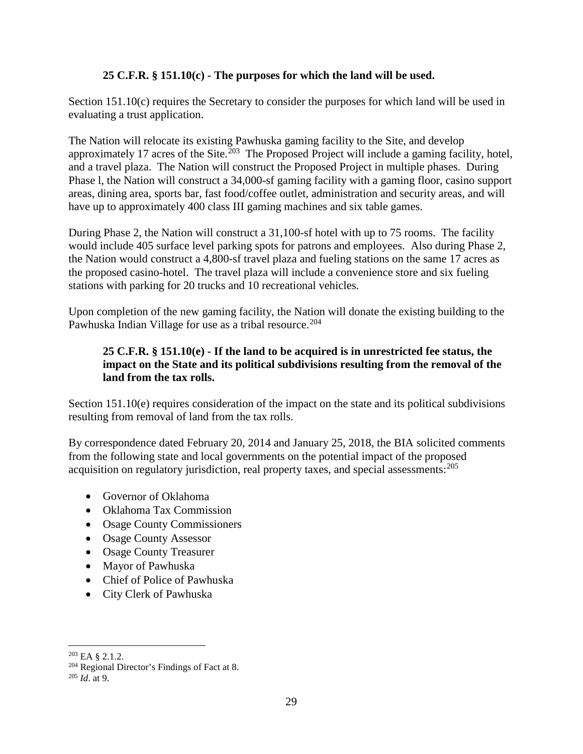### **25 C.F.R. § 151.10(c) - The purposes for which the land will be used.**

Section 151.10(c) requires the Secretary to consider the purposes for which land will be used in evaluating a trust application.

The Nation will relocate its existing Pawhuska gaming facility to the Site, and develop approximately 17 acres of the Site.<sup>[203](#page-28-0)</sup> The Proposed Project will include a gaming facility, hotel, and a travel plaza. The Nation will construct the Proposed Project in multiple phases. During Phase l, the Nation will construct a 34,000-sf gaming facility with a gaming floor, casino support areas, dining area, sports bar, fast food/coffee outlet, administration and security areas, and will have up to approximately 400 class III gaming machines and six table games.

During Phase 2, the Nation will construct a 31,100-sf hotel with up to 75 rooms. The facility would include 405 surface level parking spots for patrons and employees. Also during Phase 2, the Nation would construct a 4,800-sf travel plaza and fueling stations on the same 17 acres as the proposed casino-hotel. The travel plaza will include a convenience store and six fueling stations with parking for 20 trucks and 10 recreational vehicles.

Upon completion of the new gaming facility, the Nation will donate the existing building to the Pawhuska Indian Village for use as a tribal resource.<sup>[204](#page-28-1)</sup>

## **25 C.F.R. § 151.10(e) - If the land to be acquired is in unrestricted fee status, the impact on the State and its political subdivisions resulting from the removal of the land from the tax rolls.**

Section 151.10(e) requires consideration of the impact on the state and its political subdivisions resulting from removal of land from the tax rolls.

By correspondence dated February 20, 2014 and January 25, 2018, the BIA solicited comments from the following state and local governments on the potential impact of the proposed acquisition on regulatory jurisdiction, real property taxes, and special assessments: [205](#page-28-2)

- Governor of Oklahoma
- Oklahoma Tax Commission
- Osage County Commissioners
- Osage County Assessor
- Osage County Treasurer
- Mayor of Pawhuska
- Chief of Police of Pawhuska
- City Clerk of Pawhuska

<span id="page-28-0"></span><sup>203</sup> EA § 2.1.2.

<span id="page-28-1"></span><sup>204</sup> Regional Director's Findings of Fact at 8.

<span id="page-28-2"></span> $^{205}$  *Id* at 9.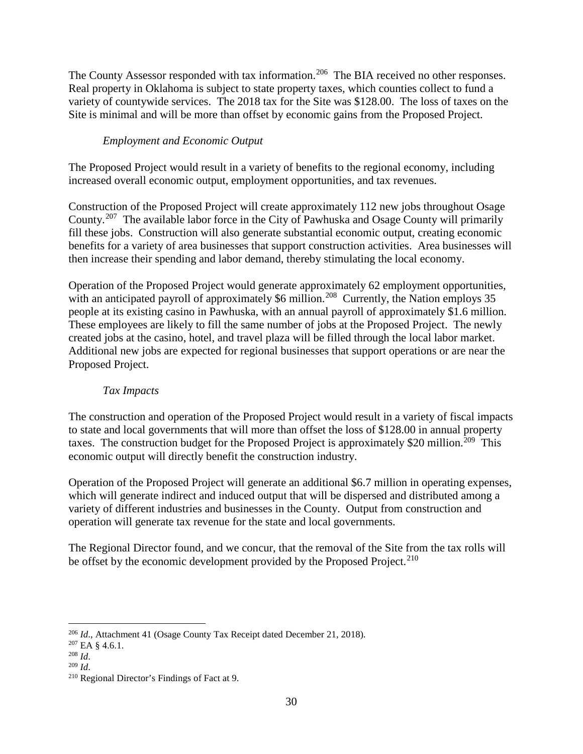The County Assessor responded with tax information.<sup>[206](#page-29-0)</sup> The BIA received no other responses. Real property in Oklahoma is subject to state property taxes, which counties collect to fund a variety of countywide services. The 2018 tax for the Site was \$128.00. The loss of taxes on the Site is minimal and will be more than offset by economic gains from the Proposed Project.

# *Employment and Economic Output*

The Proposed Project would result in a variety of benefits to the regional economy, including increased overall economic output, employment opportunities, and tax revenues.

Construction of the Proposed Project will create approximately 112 new jobs throughout Osage County.[207](#page-29-1) The available labor force in the City of Pawhuska and Osage County will primarily fill these jobs. Construction will also generate substantial economic output, creating economic benefits for a variety of area businesses that support construction activities. Area businesses will then increase their spending and labor demand, thereby stimulating the local economy.

Operation of the Proposed Project would generate approximately 62 employment opportunities, with an anticipated payroll of approximately \$6 million.<sup>[208](#page-29-2)</sup> Currently, the Nation employs 35 people at its existing casino in Pawhuska, with an annual payroll of approximately \$1.6 million. These employees are likely to fill the same number of jobs at the Proposed Project. The newly created jobs at the casino, hotel, and travel plaza will be filled through the local labor market. Additional new jobs are expected for regional businesses that support operations or are near the Proposed Project.

## *Tax Impacts*

The construction and operation of the Proposed Project would result in a variety of fiscal impacts to state and local governments that will more than offset the loss of \$128.00 in annual property taxes. The construction budget for the Proposed Project is approximately \$20 million.<sup>[209](#page-29-3)</sup> This economic output will directly benefit the construction industry.

Operation of the Proposed Project will generate an additional \$6.7 million in operating expenses, which will generate indirect and induced output that will be dispersed and distributed among a variety of different industries and businesses in the County. Output from construction and operation will generate tax revenue for the state and local governments.

The Regional Director found, and we concur, that the removal of the Site from the tax rolls will be offset by the economic development provided by the Proposed Project.<sup>[210](#page-29-4)</sup>

<span id="page-29-0"></span><sup>206</sup> *Id*., Attachment 41 (Osage County Tax Receipt dated December 21, 2018).

<span id="page-29-1"></span> $^{207}$  EA § 4.6.1.<br> $^{208}$   $Id.$ 

<span id="page-29-4"></span><span id="page-29-3"></span><span id="page-29-2"></span><sup>208</sup> *Id*. 209 *Id*. 210 Regional Director's Findings of Fact at 9.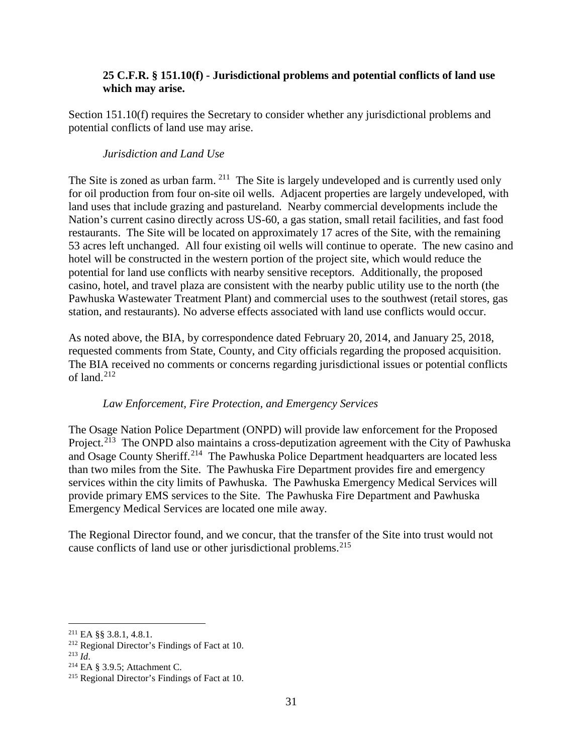### **25 C.F.R. § 151.10(f) - Jurisdictional problems and potential conflicts of land use which may arise.**

Section 151.10(f) requires the Secretary to consider whether any jurisdictional problems and potential conflicts of land use may arise.

#### *Jurisdiction and Land Use*

The Site is zoned as urban farm. <sup>211</sup> The Site is largely undeveloped and is currently used only for oil production from four on-site oil wells. Adjacent properties are largely undeveloped, with land uses that include grazing and pastureland. Nearby commercial developments include the Nation's current casino directly across US-60, a gas station, small retail facilities, and fast food restaurants. The Site will be located on approximately 17 acres of the Site, with the remaining 53 acres left unchanged. All four existing oil wells will continue to operate. The new casino and hotel will be constructed in the western portion of the project site, which would reduce the potential for land use conflicts with nearby sensitive receptors. Additionally, the proposed casino, hotel, and travel plaza are consistent with the nearby public utility use to the north (the Pawhuska Wastewater Treatment Plant) and commercial uses to the southwest (retail stores, gas station, and restaurants). No adverse effects associated with land use conflicts would occur.

As noted above, the BIA, by correspondence dated February 20, 2014, and January 25, 2018, requested comments from State, County, and City officials regarding the proposed acquisition. The BIA received no comments or concerns regarding jurisdictional issues or potential conflicts of land. $212$ 

#### *Law Enforcement, Fire Protection, and Emergency Services*

The Osage Nation Police Department (ONPD) will provide law enforcement for the Proposed Project.<sup>213</sup> The ONPD also maintains a cross-deputization agreement with the City of Pawhuska and Osage County Sheriff.<sup>214</sup> The Pawhuska Police Department headquarters are located less than two miles from the Site. The Pawhuska Fire Department provides fire and emergency services within the city limits of Pawhuska. The Pawhuska Emergency Medical Services will provide primary EMS services to the Site. The Pawhuska Fire Department and Pawhuska Emergency Medical Services are located one mile away.

The Regional Director found, and we concur, that the transfer of the Site into trust would not cause conflicts of land use or other jurisdictional problems.<sup>[215](#page-30-4)</sup>

<span id="page-30-0"></span><sup>211</sup> EA §§ 3.8.1, 4.8.1.

<span id="page-30-1"></span><sup>&</sup>lt;sup>212</sup> Regional Director's Findings of Fact at 10.<br><sup>213</sup> *Id*.

<span id="page-30-3"></span><span id="page-30-2"></span><sup>&</sup>lt;sup>214</sup> EA § 3.9.5; Attachment C.

<span id="page-30-4"></span><sup>215</sup> Regional Director's Findings of Fact at 10.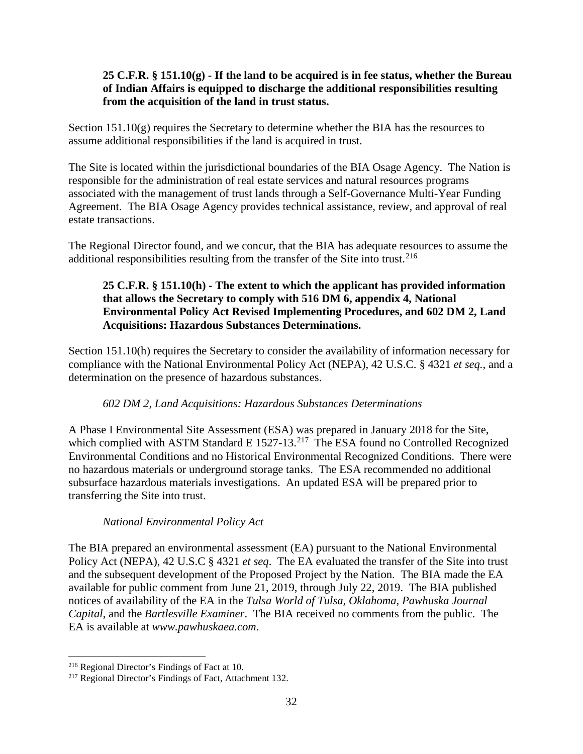### **25 C.F.R. § 151.10(g) - If the land to be acquired is in fee status, whether the Bureau of Indian Affairs is equipped to discharge the additional responsibilities resulting from the acquisition of the land in trust status.**

Section 151.10(g) requires the Secretary to determine whether the BIA has the resources to assume additional responsibilities if the land is acquired in trust.

The Site is located within the jurisdictional boundaries of the BIA Osage Agency. The Nation is responsible for the administration of real estate services and natural resources programs associated with the management of trust lands through a Self-Governance Multi-Year Funding Agreement. The BIA Osage Agency provides technical assistance, review, and approval of real estate transactions.

The Regional Director found, and we concur, that the BIA has adequate resources to assume the additional responsibilities resulting from the transfer of the Site into trust.<sup>[216](#page-31-0)</sup>

## **25 C.F.R. § 151.10(h) - The extent to which the applicant has provided information that allows the Secretary to comply with 516 DM 6, appendix 4, National Environmental Policy Act Revised Implementing Procedures, and 602 DM 2, Land Acquisitions: Hazardous Substances Determinations.**

Section 151.10(h) requires the Secretary to consider the availability of information necessary for compliance with the National Environmental Policy Act (NEPA), 42 U.S.C. § 4321 *et seq.*, and a determination on the presence of hazardous substances.

## *602 DM 2, Land Acquisitions: Hazardous Substances Determinations*

A Phase I Environmental Site Assessment (ESA) was prepared in January 2018 for the Site, which complied with ASTM Standard E  $1527-13$ <sup>[217](#page-31-1)</sup> The ESA found no Controlled Recognized Environmental Conditions and no Historical Environmental Recognized Conditions. There were no hazardous materials or underground storage tanks. The ESA recommended no additional subsurface hazardous materials investigations. An updated ESA will be prepared prior to transferring the Site into trust.

## *National Environmental Policy Act*

The BIA prepared an environmental assessment (EA) pursuant to the National Environmental Policy Act (NEPA), 42 U.S.C § 4321 *et seq*. The EA evaluated the transfer of the Site into trust and the subsequent development of the Proposed Project by the Nation. The BIA made the EA available for public comment from June 21, 2019, through July 22, 2019. The BIA published notices of availability of the EA in the *Tulsa World of Tulsa, Oklahoma*, *Pawhuska Journal Capital*, and the *Bartlesville Examiner*. The BIA received no comments from the public. The EA is available at *www.pawhuskaea.com*.

<span id="page-31-0"></span><sup>216</sup> Regional Director's Findings of Fact at 10.

<span id="page-31-1"></span><sup>&</sup>lt;sup>217</sup> Regional Director's Findings of Fact, Attachment 132.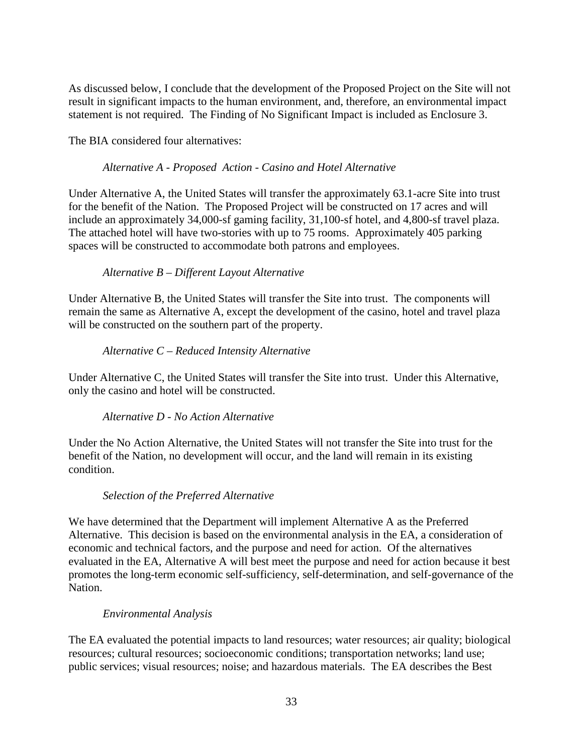As discussed below, I conclude that the development of the Proposed Project on the Site will not result in significant impacts to the human environment, and, therefore, an environmental impact statement is not required. The Finding of No Significant Impact is included as Enclosure 3.

The BIA considered four alternatives:

### *Alternative A - Proposed Action - Casino and Hotel Alternative*

Under Alternative A, the United States will transfer the approximately 63.1-acre Site into trust for the benefit of the Nation. The Proposed Project will be constructed on 17 acres and will include an approximately 34,000-sf gaming facility, 31,100-sf hotel, and 4,800-sf travel plaza. The attached hotel will have two-stories with up to 75 rooms. Approximately 405 parking spaces will be constructed to accommodate both patrons and employees.

### *Alternative B – Different Layout Alternative*

Under Alternative B, the United States will transfer the Site into trust. The components will remain the same as Alternative A, except the development of the casino, hotel and travel plaza will be constructed on the southern part of the property.

### *Alternative C – Reduced Intensity Alternative*

Under Alternative C, the United States will transfer the Site into trust. Under this Alternative, only the casino and hotel will be constructed.

## *Alternative D - No Action Alternative*

Under the No Action Alternative, the United States will not transfer the Site into trust for the benefit of the Nation, no development will occur, and the land will remain in its existing condition.

## *Selection of the Preferred Alternative*

We have determined that the Department will implement Alternative A as the Preferred Alternative. This decision is based on the environmental analysis in the EA, a consideration of economic and technical factors, and the purpose and need for action. Of the alternatives evaluated in the EA, Alternative A will best meet the purpose and need for action because it best promotes the long-term economic self-sufficiency, self-determination, and self-governance of the Nation.

## *Environmental Analysis*

The EA evaluated the potential impacts to land resources; water resources; air quality; biological resources; cultural resources; socioeconomic conditions; transportation networks; land use; public services; visual resources; noise; and hazardous materials. The EA describes the Best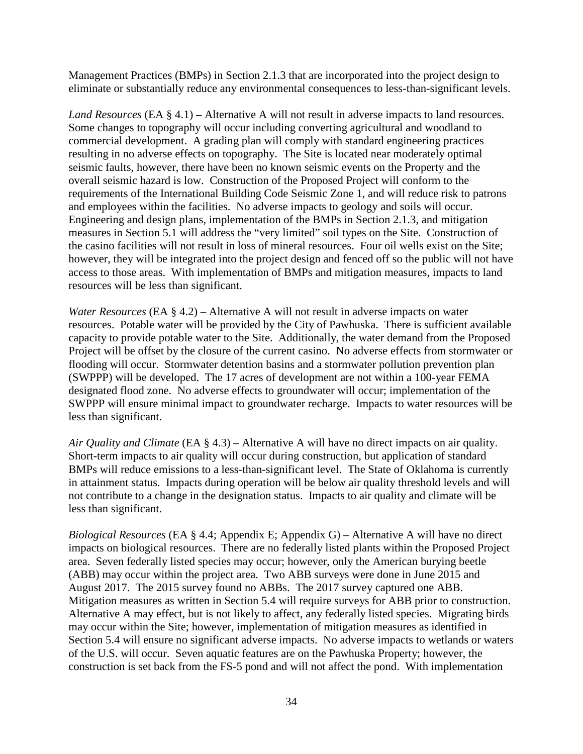Management Practices (BMPs) in Section 2.1.3 that are incorporated into the project design to eliminate or substantially reduce any environmental consequences to less-than-significant levels.

*Land Resources* (EA § 4.1) **–** Alternative A will not result in adverse impacts to land resources. Some changes to topography will occur including converting agricultural and woodland to commercial development. A grading plan will comply with standard engineering practices resulting in no adverse effects on topography. The Site is located near moderately optimal seismic faults, however, there have been no known seismic events on the Property and the overall seismic hazard is low. Construction of the Proposed Project will conform to the requirements of the International Building Code Seismic Zone 1, and will reduce risk to patrons and employees within the facilities. No adverse impacts to geology and soils will occur. Engineering and design plans, implementation of the BMPs in Section 2.1.3, and mitigation measures in Section 5.1 will address the "very limited" soil types on the Site. Construction of the casino facilities will not result in loss of mineral resources. Four oil wells exist on the Site; however, they will be integrated into the project design and fenced off so the public will not have access to those areas. With implementation of BMPs and mitigation measures, impacts to land resources will be less than significant.

*Water Resources* (EA § 4.2) – Alternative A will not result in adverse impacts on water resources. Potable water will be provided by the City of Pawhuska. There is sufficient available capacity to provide potable water to the Site. Additionally, the water demand from the Proposed Project will be offset by the closure of the current casino. No adverse effects from stormwater or flooding will occur. Stormwater detention basins and a stormwater pollution prevention plan (SWPPP) will be developed. The 17 acres of development are not within a 100-year FEMA designated flood zone. No adverse effects to groundwater will occur; implementation of the SWPPP will ensure minimal impact to groundwater recharge. Impacts to water resources will be less than significant.

*Air Quality and Climate* (EA § 4.3) – Alternative A will have no direct impacts on air quality. Short-term impacts to air quality will occur during construction, but application of standard BMPs will reduce emissions to a less-than-significant level. The State of Oklahoma is currently in attainment status. Impacts during operation will be below air quality threshold levels and will not contribute to a change in the designation status. Impacts to air quality and climate will be less than significant.

*Biological Resources* (EA § 4.4; Appendix E; Appendix G) – Alternative A will have no direct impacts on biological resources. There are no federally listed plants within the Proposed Project area. Seven federally listed species may occur; however, only the American burying beetle (ABB) may occur within the project area. Two ABB surveys were done in June 2015 and August 2017. The 2015 survey found no ABBs. The 2017 survey captured one ABB. Mitigation measures as written in Section 5.4 will require surveys for ABB prior to construction. Alternative A may effect, but is not likely to affect, any federally listed species. Migrating birds may occur within the Site; however, implementation of mitigation measures as identified in Section 5.4 will ensure no significant adverse impacts. No adverse impacts to wetlands or waters of the U.S. will occur. Seven aquatic features are on the Pawhuska Property; however, the construction is set back from the FS-5 pond and will not affect the pond. With implementation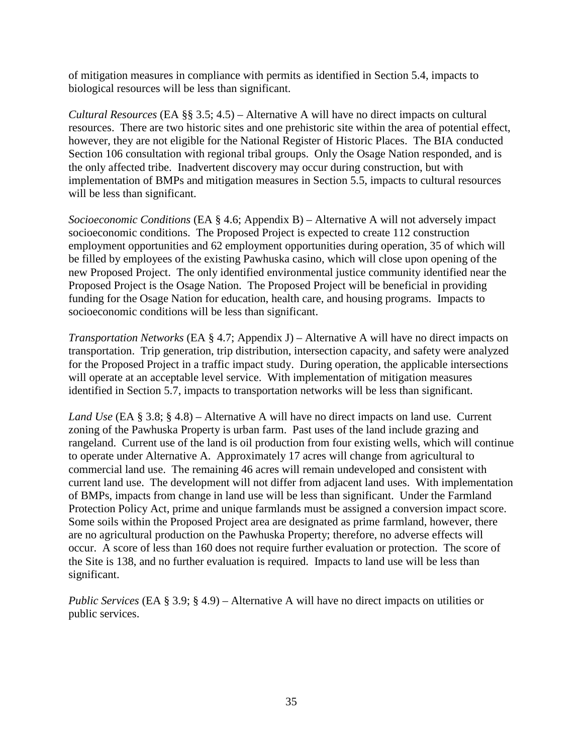of mitigation measures in compliance with permits as identified in Section 5.4, impacts to biological resources will be less than significant.

*Cultural Resources* (EA §§ 3.5; 4.5) – Alternative A will have no direct impacts on cultural resources. There are two historic sites and one prehistoric site within the area of potential effect, however, they are not eligible for the National Register of Historic Places. The BIA conducted Section 106 consultation with regional tribal groups. Only the Osage Nation responded, and is the only affected tribe. Inadvertent discovery may occur during construction, but with implementation of BMPs and mitigation measures in Section 5.5, impacts to cultural resources will be less than significant.

*Socioeconomic Conditions* (EA § 4.6; Appendix B) – Alternative A will not adversely impact socioeconomic conditions. The Proposed Project is expected to create 112 construction employment opportunities and 62 employment opportunities during operation, 35 of which will be filled by employees of the existing Pawhuska casino, which will close upon opening of the new Proposed Project. The only identified environmental justice community identified near the Proposed Project is the Osage Nation. The Proposed Project will be beneficial in providing funding for the Osage Nation for education, health care, and housing programs. Impacts to socioeconomic conditions will be less than significant.

*Transportation Networks* (EA § 4.7; Appendix J) – Alternative A will have no direct impacts on transportation. Trip generation, trip distribution, intersection capacity, and safety were analyzed for the Proposed Project in a traffic impact study. During operation, the applicable intersections will operate at an acceptable level service. With implementation of mitigation measures identified in Section 5.7, impacts to transportation networks will be less than significant.

*Land Use* (EA § 3.8; § 4.8) – Alternative A will have no direct impacts on land use. Current zoning of the Pawhuska Property is urban farm. Past uses of the land include grazing and rangeland. Current use of the land is oil production from four existing wells, which will continue to operate under Alternative A. Approximately 17 acres will change from agricultural to commercial land use. The remaining 46 acres will remain undeveloped and consistent with current land use. The development will not differ from adjacent land uses. With implementation of BMPs, impacts from change in land use will be less than significant. Under the Farmland Protection Policy Act, prime and unique farmlands must be assigned a conversion impact score. Some soils within the Proposed Project area are designated as prime farmland, however, there are no agricultural production on the Pawhuska Property; therefore, no adverse effects will occur. A score of less than 160 does not require further evaluation or protection. The score of the Site is 138, and no further evaluation is required. Impacts to land use will be less than significant.

*Public Services* (EA § 3.9; § 4.9) – Alternative A will have no direct impacts on utilities or public services.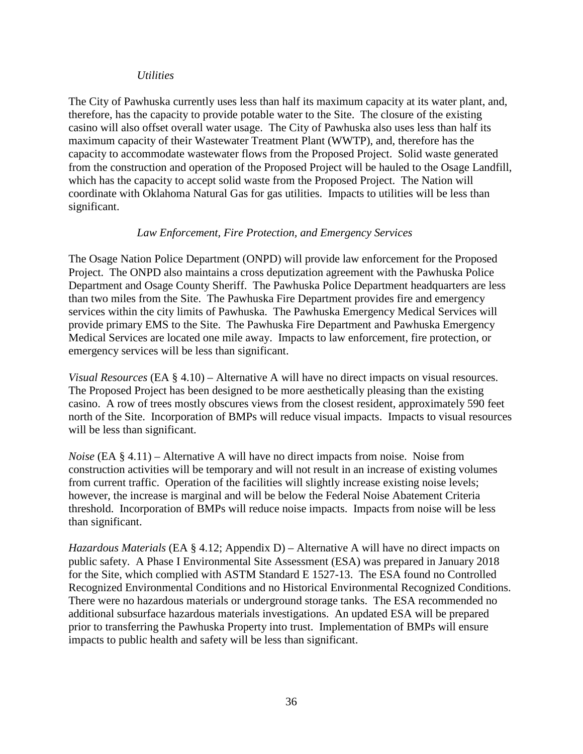#### *Utilities*

The City of Pawhuska currently uses less than half its maximum capacity at its water plant, and, therefore, has the capacity to provide potable water to the Site. The closure of the existing casino will also offset overall water usage. The City of Pawhuska also uses less than half its maximum capacity of their Wastewater Treatment Plant (WWTP), and, therefore has the capacity to accommodate wastewater flows from the Proposed Project. Solid waste generated from the construction and operation of the Proposed Project will be hauled to the Osage Landfill, which has the capacity to accept solid waste from the Proposed Project. The Nation will coordinate with Oklahoma Natural Gas for gas utilities. Impacts to utilities will be less than significant.

#### *Law Enforcement, Fire Protection, and Emergency Services*

The Osage Nation Police Department (ONPD) will provide law enforcement for the Proposed Project. The ONPD also maintains a cross deputization agreement with the Pawhuska Police Department and Osage County Sheriff. The Pawhuska Police Department headquarters are less than two miles from the Site. The Pawhuska Fire Department provides fire and emergency services within the city limits of Pawhuska. The Pawhuska Emergency Medical Services will provide primary EMS to the Site. The Pawhuska Fire Department and Pawhuska Emergency Medical Services are located one mile away. Impacts to law enforcement, fire protection, or emergency services will be less than significant.

*Visual Resources* (EA § 4.10) – Alternative A will have no direct impacts on visual resources. The Proposed Project has been designed to be more aesthetically pleasing than the existing casino. A row of trees mostly obscures views from the closest resident, approximately 590 feet north of the Site. Incorporation of BMPs will reduce visual impacts. Impacts to visual resources will be less than significant.

*Noise* (EA § 4.11) – Alternative A will have no direct impacts from noise. Noise from construction activities will be temporary and will not result in an increase of existing volumes from current traffic. Operation of the facilities will slightly increase existing noise levels; however, the increase is marginal and will be below the Federal Noise Abatement Criteria threshold. Incorporation of BMPs will reduce noise impacts. Impacts from noise will be less than significant.

*Hazardous Materials* (EA § 4.12; Appendix D) – Alternative A will have no direct impacts on public safety. A Phase I Environmental Site Assessment (ESA) was prepared in January 2018 for the Site, which complied with ASTM Standard E 1527-13. The ESA found no Controlled Recognized Environmental Conditions and no Historical Environmental Recognized Conditions. There were no hazardous materials or underground storage tanks. The ESA recommended no additional subsurface hazardous materials investigations. An updated ESA will be prepared prior to transferring the Pawhuska Property into trust. Implementation of BMPs will ensure impacts to public health and safety will be less than significant.